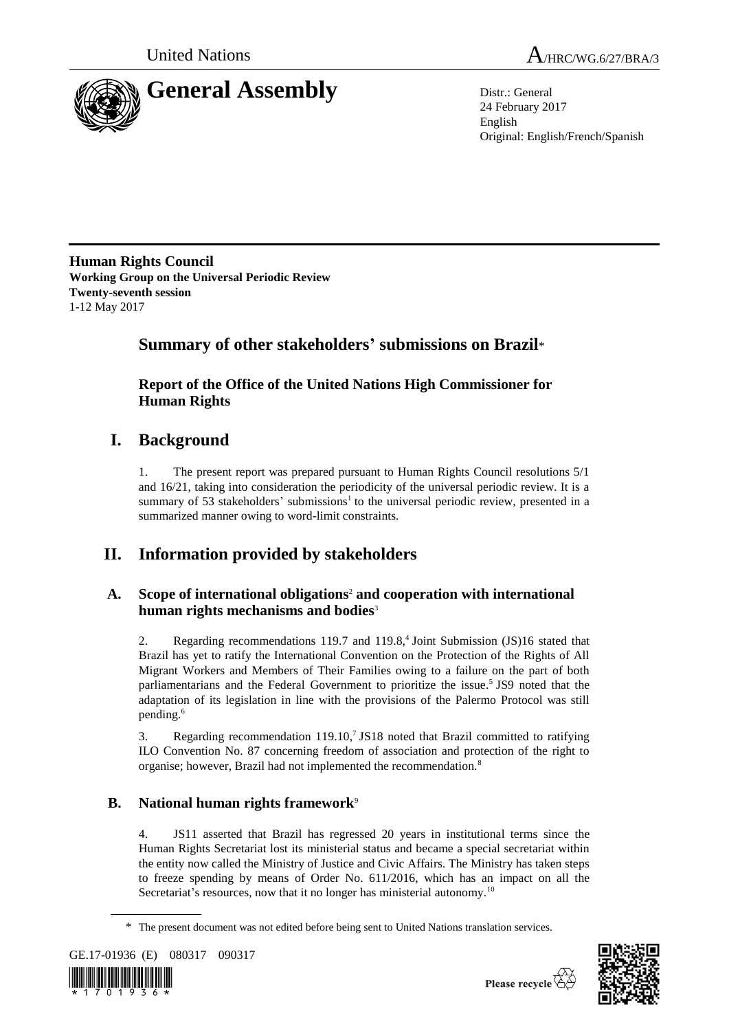



24 February 2017 English Original: English/French/Spanish

**Human Rights Council Working Group on the Universal Periodic Review Twenty-seventh session** 1-12 May 2017

# **Summary of other stakeholders' submissions on Brazil**\*

**Report of the Office of the United Nations High Commissioner for Human Rights**

# **I. Background**

1. The present report was prepared pursuant to Human Rights Council resolutions 5/1 and 16/21, taking into consideration the periodicity of the universal periodic review. It is a summary of 53 stakeholders' submissions<sup>1</sup> to the universal periodic review, presented in a summarized manner owing to word-limit constraints.

# **II. Information provided by stakeholders**

## **A. Scope of international obligations**<sup>2</sup> **and cooperation with international human rights mechanisms and bodies**<sup>3</sup>

2. Regarding recommendations 119.7 and 119.8,<sup>4</sup> Joint Submission (JS)16 stated that Brazil has yet to ratify the International Convention on the Protection of the Rights of All Migrant Workers and Members of Their Families owing to a failure on the part of both parliamentarians and the Federal Government to prioritize the issue.<sup>5</sup> JS9 noted that the adaptation of its legislation in line with the provisions of the Palermo Protocol was still pending.<sup>6</sup>

3. Regarding recommendation 119.10, 7 JS18 noted that Brazil committed to ratifying ILO Convention No. 87 concerning freedom of association and protection of the right to organise; however, Brazil had not implemented the recommendation.<sup>8</sup>

## **B. National human rights framework**<sup>9</sup>

4. JS11 asserted that Brazil has regressed 20 years in institutional terms since the Human Rights Secretariat lost its ministerial status and became a special secretariat within the entity now called the Ministry of Justice and Civic Affairs. The Ministry has taken steps to freeze spending by means of Order No. 611/2016, which has an impact on all the Secretariat's resources, now that it no longer has ministerial autonomy.<sup>10</sup>

<sup>\*</sup> The present document was not edited before being sent to United Nations translation services.





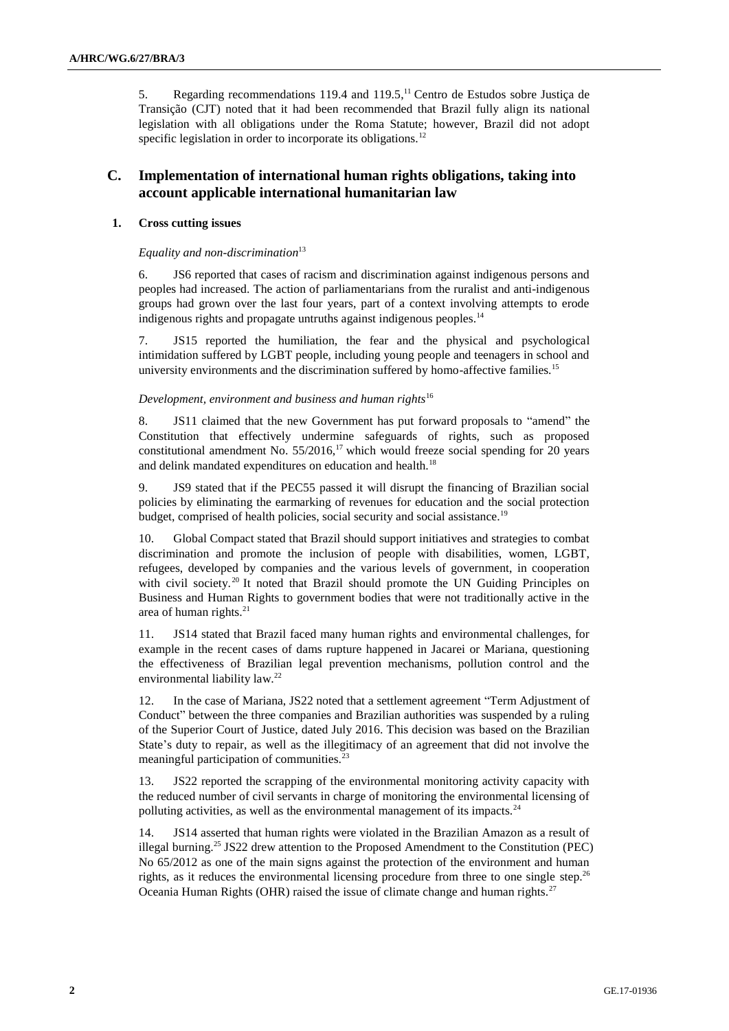5. Regarding recommendations 119.4 and 119.5, $<sup>11</sup>$  Centro de Estudos sobre Justiça de</sup> Transição (CJT) noted that it had been recommended that Brazil fully align its national legislation with all obligations under the Roma Statute; however, Brazil did not adopt specific legislation in order to incorporate its obligations.<sup>12</sup>

### **C. Implementation of international human rights obligations, taking into account applicable international humanitarian law**

#### **1. Cross cutting issues**

#### *Equality and non-discrimination*<sup>13</sup>

6. JS6 reported that cases of racism and discrimination against indigenous persons and peoples had increased. The action of parliamentarians from the ruralist and anti-indigenous groups had grown over the last four years, part of a context involving attempts to erode indigenous rights and propagate untruths against indigenous peoples.<sup>14</sup>

7. JS15 reported the humiliation, the fear and the physical and psychological intimidation suffered by LGBT people, including young people and teenagers in school and university environments and the discrimination suffered by homo-affective families.<sup>15</sup>

#### *Development, environment and business and human rights*<sup>16</sup>

8. JS11 claimed that the new Government has put forward proposals to "amend" the Constitution that effectively undermine safeguards of rights, such as proposed constitutional amendment No.  $55/2016$ ,<sup>17</sup> which would freeze social spending for 20 years and delink mandated expenditures on education and health.<sup>18</sup>

9. JS9 stated that if the PEC55 passed it will disrupt the financing of Brazilian social policies by eliminating the earmarking of revenues for education and the social protection budget, comprised of health policies, social security and social assistance.<sup>19</sup>

10. Global Compact stated that Brazil should support initiatives and strategies to combat discrimination and promote the inclusion of people with disabilities, women, LGBT, refugees, developed by companies and the various levels of government, in cooperation with civil society.<sup>20</sup> It noted that Brazil should promote the UN Guiding Principles on Business and Human Rights to government bodies that were not traditionally active in the area of human rights. $21$ 

11. JS14 stated that Brazil faced many human rights and environmental challenges, for example in the recent cases of dams rupture happened in Jacarei or Mariana, questioning the effectiveness of Brazilian legal prevention mechanisms, pollution control and the environmental liability law.<sup>22</sup>

12. In the case of Mariana, JS22 noted that a settlement agreement "Term Adjustment of Conduct" between the three companies and Brazilian authorities was suspended by a ruling of the Superior Court of Justice, dated July 2016. This decision was based on the Brazilian State's duty to repair, as well as the illegitimacy of an agreement that did not involve the meaningful participation of communities.<sup>23</sup>

13. JS22 reported the scrapping of the environmental monitoring activity capacity with the reduced number of civil servants in charge of monitoring the environmental licensing of polluting activities, as well as the environmental management of its impacts.<sup>24</sup>

14. JS14 asserted that human rights were violated in the Brazilian Amazon as a result of illegal burning.<sup>25</sup> JS22 drew attention to the Proposed Amendment to the Constitution (PEC) No 65/2012 as one of the main signs against the protection of the environment and human rights, as it reduces the environmental licensing procedure from three to one single step.<sup>26</sup> Oceania Human Rights (OHR) raised the issue of climate change and human rights.<sup>27</sup>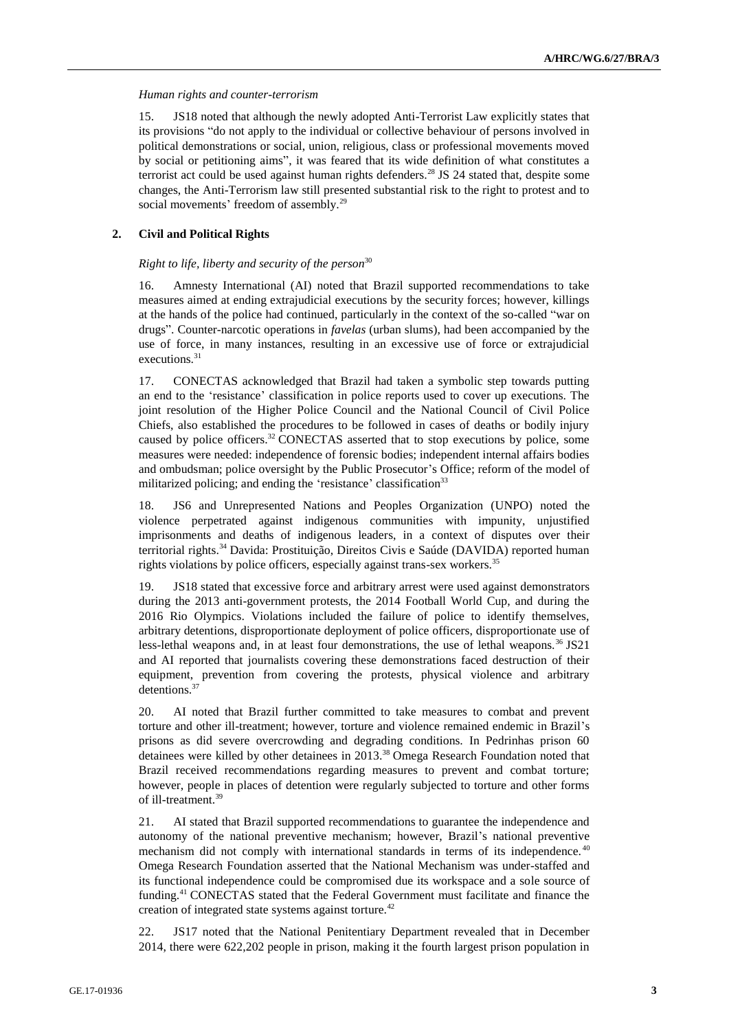#### *Human rights and counter-terrorism*

15. JS18 noted that although the newly adopted Anti-Terrorist Law explicitly states that its provisions "do not apply to the individual or collective behaviour of persons involved in political demonstrations or social, union, religious, class or professional movements moved by social or petitioning aims", it was feared that its wide definition of what constitutes a terrorist act could be used against human rights defenders.<sup>28</sup> JS 24 stated that, despite some changes, the Anti-Terrorism law still presented substantial risk to the right to protest and to social movements' freedom of assembly.<sup>29</sup>

#### **2. Civil and Political Rights**

#### *Right to life, liberty and security of the person*<sup>30</sup>

16. Amnesty International (AI) noted that Brazil supported recommendations to take measures aimed at ending extrajudicial executions by the security forces; however, killings at the hands of the police had continued, particularly in the context of the so-called "war on drugs". Counter-narcotic operations in *favelas* (urban slums), had been accompanied by the use of force, in many instances, resulting in an excessive use of force or extrajudicial executions.<sup>31</sup>

17. CONECTAS acknowledged that Brazil had taken a symbolic step towards putting an end to the 'resistance' classification in police reports used to cover up executions. The joint resolution of the Higher Police Council and the National Council of Civil Police Chiefs, also established the procedures to be followed in cases of deaths or bodily injury caused by police officers.<sup>32</sup> CONECTAS asserted that to stop executions by police, some measures were needed: independence of forensic bodies; independent internal affairs bodies and ombudsman; police oversight by the Public Prosecutor's Office; reform of the model of militarized policing; and ending the 'resistance' classification<sup>33</sup>

18. JS6 and Unrepresented Nations and Peoples Organization (UNPO) noted the violence perpetrated against indigenous communities with impunity, unjustified imprisonments and deaths of indigenous leaders, in a context of disputes over their territorial rights.<sup>34</sup> Davida: Prostituição, Direitos Civis e Saúde (DAVIDA) reported human rights violations by police officers, especially against trans-sex workers.<sup>35</sup>

19. JS18 stated that excessive force and arbitrary arrest were used against demonstrators during the 2013 anti-government protests, the 2014 Football World Cup, and during the 2016 Rio Olympics. Violations included the failure of police to identify themselves, arbitrary detentions, disproportionate deployment of police officers, disproportionate use of less-lethal weapons and, in at least four demonstrations, the use of lethal weapons.<sup>36</sup> JS21 and AI reported that journalists covering these demonstrations faced destruction of their equipment, prevention from covering the protests, physical violence and arbitrary detentions.<sup>37</sup>

20. AI noted that Brazil further committed to take measures to combat and prevent torture and other ill-treatment; however, torture and violence remained endemic in Brazil's prisons as did severe overcrowding and degrading conditions. In Pedrinhas prison 60 detainees were killed by other detainees in 2013.<sup>38</sup> Omega Research Foundation noted that Brazil received recommendations regarding measures to prevent and combat torture; however, people in places of detention were regularly subjected to torture and other forms of ill-treatment.<sup>39</sup>

21. AI stated that Brazil supported recommendations to guarantee the independence and autonomy of the national preventive mechanism; however, Brazil's national preventive mechanism did not comply with international standards in terms of its independence.<sup>40</sup> Omega Research Foundation asserted that the National Mechanism was under-staffed and its functional independence could be compromised due its workspace and a sole source of funding.<sup>41</sup> CONECTAS stated that the Federal Government must facilitate and finance the creation of integrated state systems against torture.<sup>42</sup>

22. JS17 noted that the National Penitentiary Department revealed that in December 2014, there were 622,202 people in prison, making it the fourth largest prison population in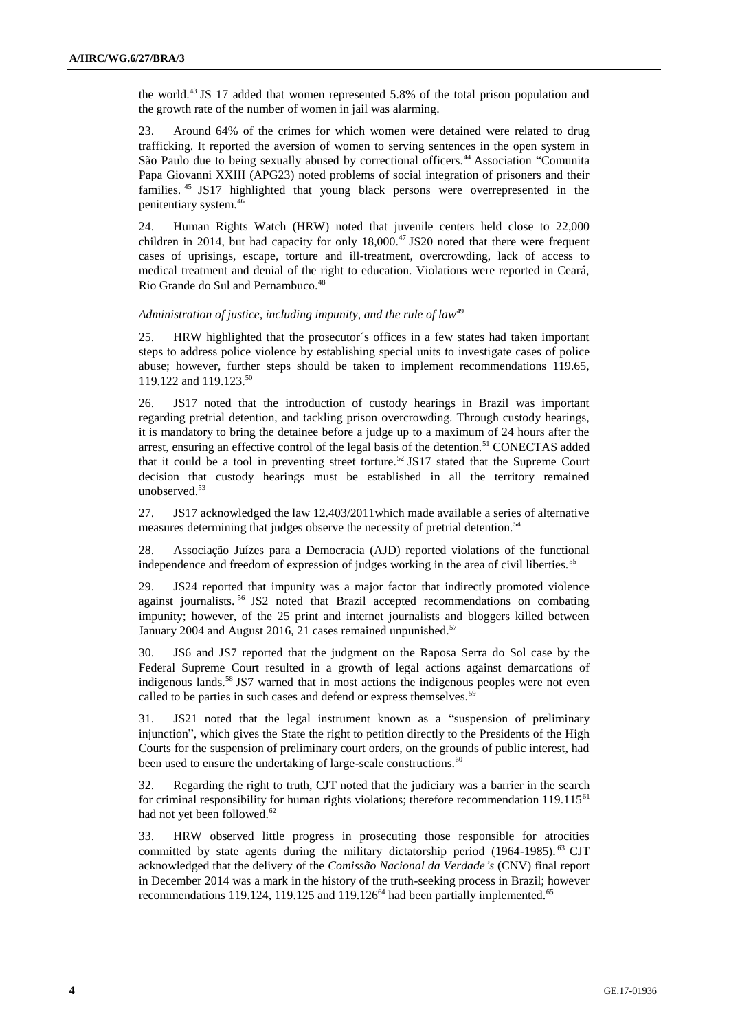the world.<sup>43</sup> JS 17 added that women represented 5.8% of the total prison population and the growth rate of the number of women in jail was alarming.

23. Around 64% of the crimes for which women were detained were related to drug trafficking. It reported the aversion of women to serving sentences in the open system in São Paulo due to being sexually abused by correctional officers.<sup>44</sup> Association "Comunita Papa Giovanni XXIII (APG23) noted problems of social integration of prisoners and their families. <sup>45</sup> JS17 highlighted that young black persons were overrepresented in the penitentiary system.<sup>46</sup>

24. Human Rights Watch (HRW) noted that juvenile centers held close to 22,000 children in 2014, but had capacity for only  $18,000.^{47}$  JS20 noted that there were frequent cases of uprisings, escape, torture and ill-treatment, overcrowding, lack of access to medical treatment and denial of the right to education. Violations were reported in Ceará, Rio Grande do Sul and Pernambuco.<sup>48</sup>

#### Administration of justice, including impunity, and the rule of law<sup>49</sup>

25. HRW highlighted that the prosecutor´s offices in a few states had taken important steps to address police violence by establishing special units to investigate cases of police abuse; however, further steps should be taken to implement recommendations 119.65, 119.122 and 119.123.<sup>50</sup>

26. JS17 noted that the introduction of custody hearings in Brazil was important regarding pretrial detention, and tackling prison overcrowding. Through custody hearings, it is mandatory to bring the detainee before a judge up to a maximum of 24 hours after the arrest, ensuring an effective control of the legal basis of the detention.<sup>51</sup> CONECTAS added that it could be a tool in preventing street torture.<sup>52</sup> JS17 stated that the Supreme Court decision that custody hearings must be established in all the territory remained unobserved.<sup>53</sup>

27. JS17 acknowledged the law 12.403/2011which made available a series of alternative measures determining that judges observe the necessity of pretrial detention.<sup>54</sup>

28. Associação Juízes para a Democracia (AJD) reported violations of the functional independence and freedom of expression of judges working in the area of civil liberties.<sup>55</sup>

29. JS24 reported that impunity was a major factor that indirectly promoted violence against journalists. <sup>56</sup> JS2 noted that Brazil accepted recommendations on combating impunity; however, of the 25 print and internet journalists and bloggers killed between January 2004 and August 2016, 21 cases remained unpunished. $57$ 

30. JS6 and JS7 reported that the judgment on the Raposa Serra do Sol case by the Federal Supreme Court resulted in a growth of legal actions against demarcations of indigenous lands.<sup>58</sup> JS7 warned that in most actions the indigenous peoples were not even called to be parties in such cases and defend or express themselves.<sup>59</sup>

31. JS21 noted that the legal instrument known as a "suspension of preliminary injunction", which gives the State the right to petition directly to the Presidents of the High Courts for the suspension of preliminary court orders, on the grounds of public interest, had been used to ensure the undertaking of large-scale constructions.<sup>60</sup>

32. Regarding the right to truth, CJT noted that the judiciary was a barrier in the search for criminal responsibility for human rights violations; therefore recommendation  $119.115<sup>61</sup>$ had not yet been followed.<sup>62</sup>

33. HRW observed little progress in prosecuting those responsible for atrocities committed by state agents during the military dictatorship period (1964-1985). <sup>63</sup> CJT acknowledged that the delivery of the *Comissão Nacional da Verdade's* (CNV) final report in December 2014 was a mark in the history of the truth-seeking process in Brazil; however recommendations 119.124, 119.125 and 119.126<sup>64</sup> had been partially implemented.<sup>65</sup>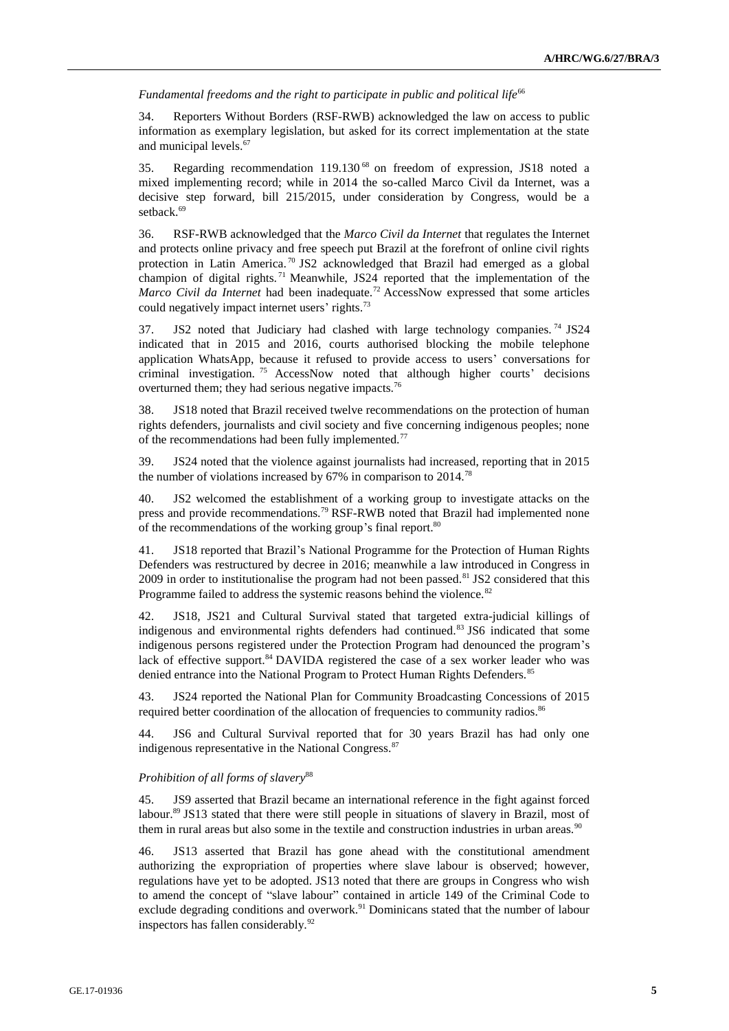Fundamental freedoms and the right to participate in public and political life<sup>66</sup>

34. Reporters Without Borders (RSF-RWB) acknowledged the law on access to public information as exemplary legislation, but asked for its correct implementation at the state and municipal levels.<sup>67</sup>

35. Regarding recommendation 119.130 <sup>68</sup> on freedom of expression, JS18 noted a mixed implementing record; while in 2014 the so-called Marco Civil da Internet, was a decisive step forward, bill 215/2015, under consideration by Congress, would be a setback.<sup>69</sup>

36. RSF-RWB acknowledged that the *Marco Civil da Internet* that regulates the Internet and protects online privacy and free speech put Brazil at the forefront of online civil rights protection in Latin America.<sup>70</sup> JS2 acknowledged that Brazil had emerged as a global champion of digital rights.<sup>71</sup> Meanwhile, JS24 reported that the implementation of the *Marco Civil da Internet* had been inadequate.<sup>72</sup> AccessNow expressed that some articles could negatively impact internet users' rights.<sup>73</sup>

37. JS2 noted that Judiciary had clashed with large technology companies.<sup>74</sup> JS24 indicated that in 2015 and 2016, courts authorised blocking the mobile telephone application WhatsApp, because it refused to provide access to users' conversations for criminal investigation. <sup>75</sup> AccessNow noted that although higher courts' decisions overturned them; they had serious negative impacts.<sup>76</sup>

38. JS18 noted that Brazil received twelve recommendations on the protection of human rights defenders, journalists and civil society and five concerning indigenous peoples; none of the recommendations had been fully implemented.<sup>77</sup>

39. JS24 noted that the violence against journalists had increased, reporting that in 2015 the number of violations increased by  $67\%$  in comparison to  $2014$ .<sup>78</sup>

40. JS2 welcomed the establishment of a working group to investigate attacks on the press and provide recommendations.<sup>79</sup> RSF-RWB noted that Brazil had implemented none of the recommendations of the working group's final report.<sup>80</sup>

41. JS18 reported that Brazil's National Programme for the Protection of Human Rights Defenders was restructured by decree in 2016; meanwhile a law introduced in Congress in 2009 in order to institutionalise the program had not been passed.<sup>81</sup> JS2 considered that this Programme failed to address the systemic reasons behind the violence.<sup>82</sup>

42. JS18, JS21 and Cultural Survival stated that targeted extra-judicial killings of indigenous and environmental rights defenders had continued.<sup>83</sup> JS6 indicated that some indigenous persons registered under the Protection Program had denounced the program's lack of effective support.<sup>84</sup> DAVIDA registered the case of a sex worker leader who was denied entrance into the National Program to Protect Human Rights Defenders.<sup>85</sup>

43. JS24 reported the National Plan for Community Broadcasting Concessions of 2015 required better coordination of the allocation of frequencies to community radios.<sup>86</sup>

44. JS6 and Cultural Survival reported that for 30 years Brazil has had only one indigenous representative in the National Congress.<sup>87</sup>

#### *Prohibition of all forms of slavery*<sup>88</sup>

45. JS9 asserted that Brazil became an international reference in the fight against forced labour.<sup>89</sup> JS13 stated that there were still people in situations of slavery in Brazil, most of them in rural areas but also some in the textile and construction industries in urban areas.<sup>90</sup>

46. JS13 asserted that Brazil has gone ahead with the constitutional amendment authorizing the expropriation of properties where slave labour is observed; however, regulations have yet to be adopted. JS13 noted that there are groups in Congress who wish to amend the concept of "slave labour" contained in article 149 of the Criminal Code to exclude degrading conditions and overwork.<sup>91</sup> Dominicans stated that the number of labour inspectors has fallen considerably.<sup>92</sup>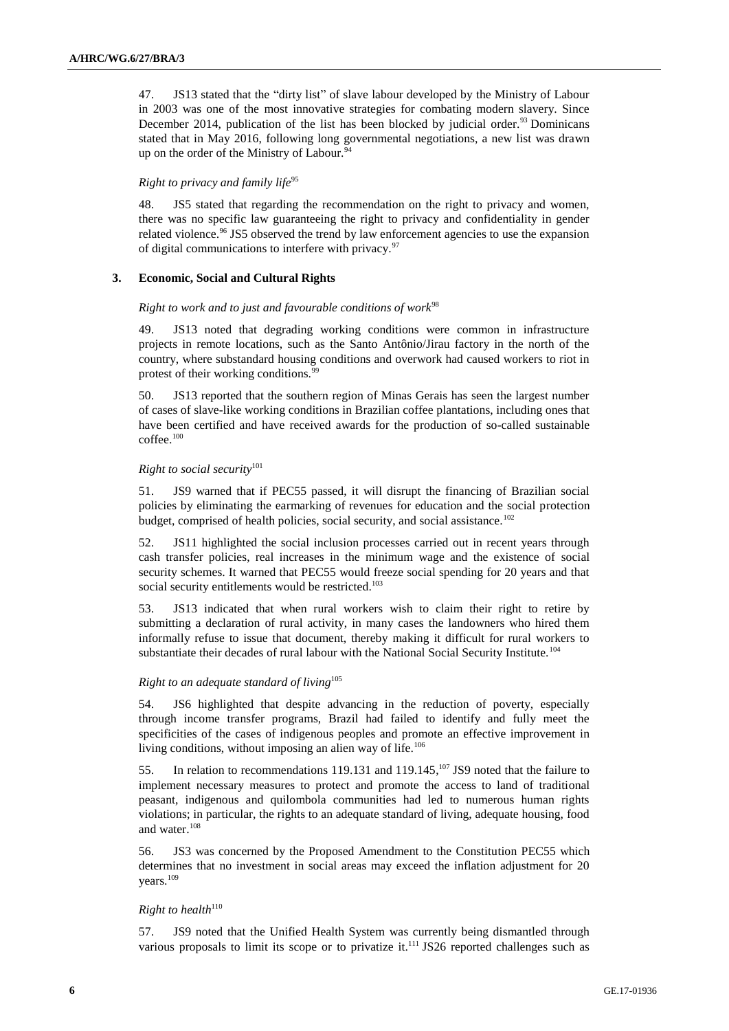47. JS13 stated that the "dirty list" of slave labour developed by the Ministry of Labour in 2003 was one of the most innovative strategies for combating modern slavery. Since December 2014, publication of the list has been blocked by judicial order.<sup>93</sup> Dominicans stated that in May 2016, following long governmental negotiations, a new list was drawn up on the order of the Ministry of Labour.<sup>94</sup>

#### *Right to privacy and family life*<sup>95</sup>

48. JS5 stated that regarding the recommendation on the right to privacy and women, there was no specific law guaranteeing the right to privacy and confidentiality in gender related violence.<sup>96</sup> JS5 observed the trend by law enforcement agencies to use the expansion of digital communications to interfere with privacy. $97$ 

#### **3. Economic, Social and Cultural Rights**

#### *Right to work and to just and favourable conditions of work*<sup>98</sup>

49. JS13 noted that degrading working conditions were common in infrastructure projects in remote locations, such as the Santo Antônio/Jirau factory in the north of the country, where substandard housing conditions and overwork had caused workers to riot in protest of their working conditions.<sup>99</sup>

50. JS13 reported that the southern region of Minas Gerais has seen the largest number of cases of slave-like working conditions in Brazilian coffee plantations, including ones that have been certified and have received awards for the production of so-called sustainable coffee.<sup>100</sup>

#### *Right to social security*<sup>101</sup>

51. JS9 warned that if PEC55 passed, it will disrupt the financing of Brazilian social policies by eliminating the earmarking of revenues for education and the social protection budget, comprised of health policies, social security, and social assistance.<sup>102</sup>

52. JS11 highlighted the social inclusion processes carried out in recent years through cash transfer policies, real increases in the minimum wage and the existence of social security schemes. It warned that PEC55 would freeze social spending for 20 years and that social security entitlements would be restricted.<sup>103</sup>

53. JS13 indicated that when rural workers wish to claim their right to retire by submitting a declaration of rural activity, in many cases the landowners who hired them informally refuse to issue that document, thereby making it difficult for rural workers to substantiate their decades of rural labour with the National Social Security Institute.<sup>104</sup>

## *Right to an adequate standard of living*<sup>105</sup>

54. JS6 highlighted that despite advancing in the reduction of poverty, especially through income transfer programs, Brazil had failed to identify and fully meet the specificities of the cases of indigenous peoples and promote an effective improvement in living conditions, without imposing an alien way of life.<sup>106</sup>

55. In relation to recommendations 119.131 and 119.145,<sup>107</sup> JS9 noted that the failure to implement necessary measures to protect and promote the access to land of traditional peasant, indigenous and quilombola communities had led to numerous human rights violations; in particular, the rights to an adequate standard of living, adequate housing, food and water.<sup>108</sup>

56. JS3 was concerned by the Proposed Amendment to the Constitution PEC55 which determines that no investment in social areas may exceed the inflation adjustment for 20 years.<sup>109</sup>

## $Right to health<sup>110</sup>$

57. JS9 noted that the Unified Health System was currently being dismantled through various proposals to limit its scope or to privatize it.<sup>111</sup> JS26 reported challenges such as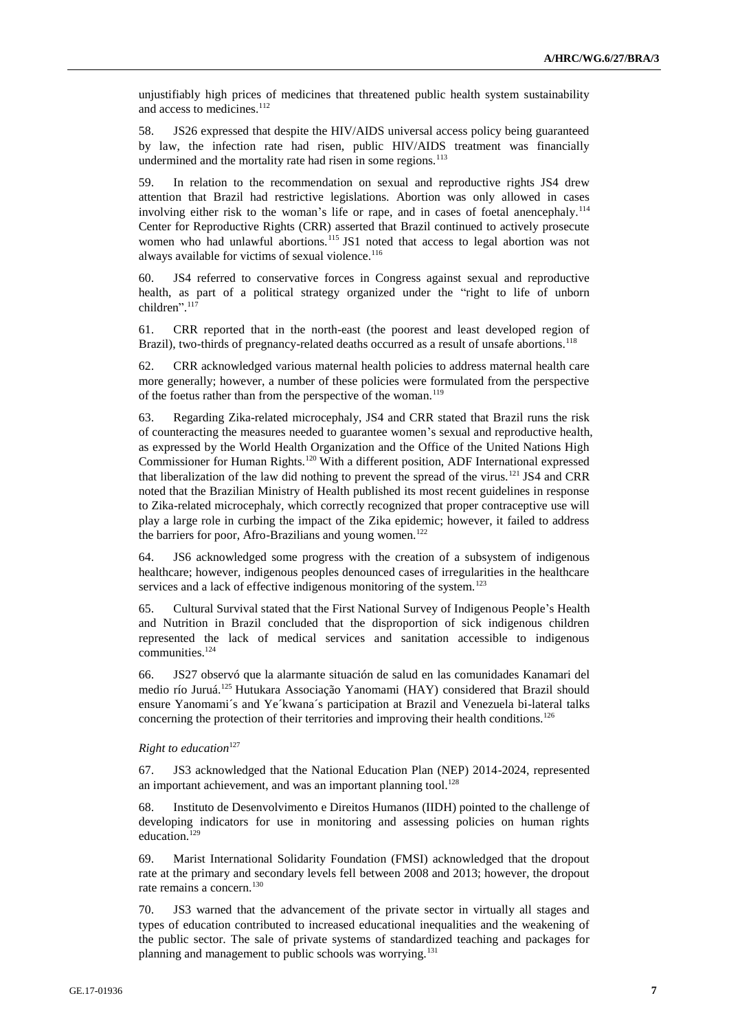unjustifiably high prices of medicines that threatened public health system sustainability and access to medicines.<sup>112</sup>

58. JS26 expressed that despite the HIV/AIDS universal access policy being guaranteed by law, the infection rate had risen, public HIV/AIDS treatment was financially undermined and the mortality rate had risen in some regions.<sup>113</sup>

59. In relation to the recommendation on sexual and reproductive rights JS4 drew attention that Brazil had restrictive legislations. Abortion was only allowed in cases involving either risk to the woman's life or rape, and in cases of foetal anencephaly.<sup>114</sup> Center for Reproductive Rights (CRR) asserted that Brazil continued to actively prosecute women who had unlawful abortions.<sup>115</sup> JS1 noted that access to legal abortion was not always available for victims of sexual violence.<sup>116</sup>

60. JS4 referred to conservative forces in Congress against sexual and reproductive health, as part of a political strategy organized under the "right to life of unborn children". 117

61. CRR reported that in the north-east (the poorest and least developed region of Brazil), two-thirds of pregnancy-related deaths occurred as a result of unsafe abortions.<sup>118</sup>

62. CRR acknowledged various maternal health policies to address maternal health care more generally; however, a number of these policies were formulated from the perspective of the foetus rather than from the perspective of the woman.<sup>119</sup>

63. Regarding Zika-related microcephaly, JS4 and CRR stated that Brazil runs the risk of counteracting the measures needed to guarantee women's sexual and reproductive health, as expressed by the World Health Organization and the Office of the United Nations High Commissioner for Human Rights.<sup>120</sup> With a different position, ADF International expressed that liberalization of the law did nothing to prevent the spread of the virus.<sup>121</sup> JS4 and CRR noted that the Brazilian Ministry of Health published its most recent guidelines in response to Zika-related microcephaly, which correctly recognized that proper contraceptive use will play a large role in curbing the impact of the Zika epidemic; however, it failed to address the barriers for poor, Afro-Brazilians and young women.<sup>122</sup>

64. JS6 acknowledged some progress with the creation of a subsystem of indigenous healthcare; however, indigenous peoples denounced cases of irregularities in the healthcare services and a lack of effective indigenous monitoring of the system.<sup>123</sup>

65. Cultural Survival stated that the First National Survey of Indigenous People's Health and Nutrition in Brazil concluded that the disproportion of sick indigenous children represented the lack of medical services and sanitation accessible to indigenous communities.<sup>124</sup>

66. JS27 observó que la alarmante situación de salud en las comunidades Kanamari del medio río Juruá.<sup>125</sup> Hutukara Associação Yanomami (HAY) considered that Brazil should ensure Yanomami´s and Ye´kwana´s participation at Brazil and Venezuela bi-lateral talks concerning the protection of their territories and improving their health conditions.<sup>126</sup>

### *Right to education*<sup>127</sup>

67. JS3 acknowledged that the National Education Plan (NEP) 2014-2024, represented an important achievement, and was an important planning tool.<sup>128</sup>

68. Instituto de Desenvolvimento e Direitos Humanos (IIDH) pointed to the challenge of developing indicators for use in monitoring and assessing policies on human rights education.<sup>129</sup>

69. Marist International Solidarity Foundation (FMSI) acknowledged that the dropout rate at the primary and secondary levels fell between 2008 and 2013; however, the dropout rate remains a concern.<sup>130</sup>

70. JS3 warned that the advancement of the private sector in virtually all stages and types of education contributed to increased educational inequalities and the weakening of the public sector. The sale of private systems of standardized teaching and packages for planning and management to public schools was worrying.<sup>131</sup>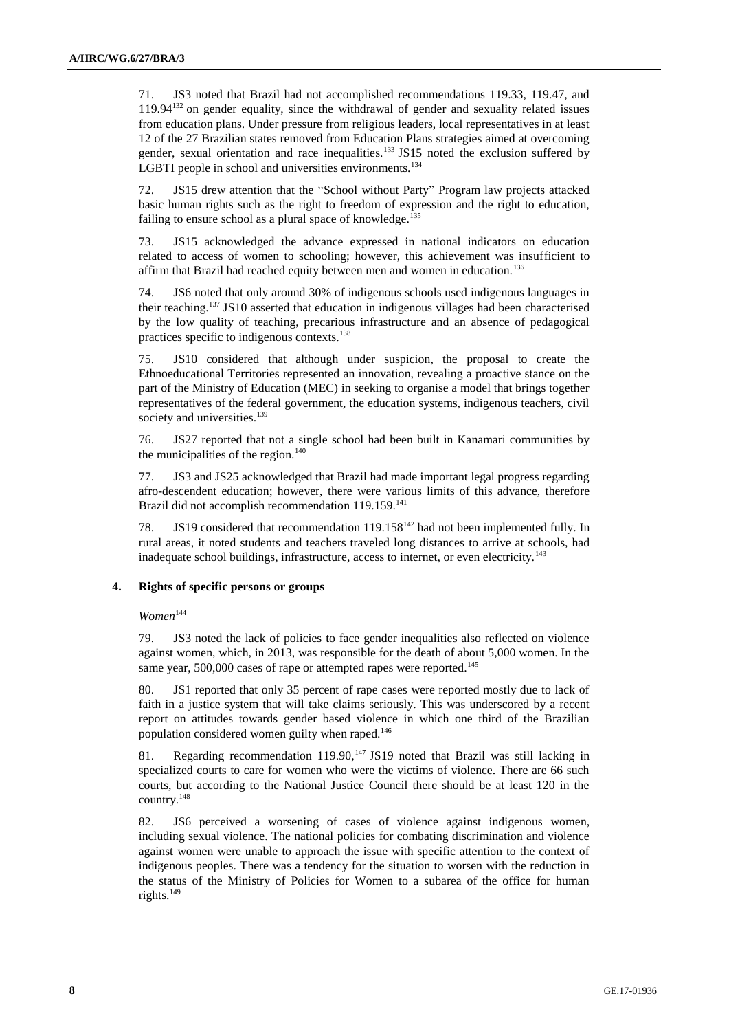71. JS3 noted that Brazil had not accomplished recommendations 119.33, 119.47, and 119.94<sup>132</sup> on gender equality, since the withdrawal of gender and sexuality related issues from education plans. Under pressure from religious leaders, local representatives in at least 12 of the 27 Brazilian states removed from Education Plans strategies aimed at overcoming gender, sexual orientation and race inequalities.<sup>133</sup> JS15 noted the exclusion suffered by LGBTI people in school and universities environments.<sup>134</sup>

72. JS15 drew attention that the "School without Party" Program law projects attacked basic human rights such as the right to freedom of expression and the right to education, failing to ensure school as a plural space of knowledge.<sup>135</sup>

73. JS15 acknowledged the advance expressed in national indicators on education related to access of women to schooling; however, this achievement was insufficient to affirm that Brazil had reached equity between men and women in education.<sup>136</sup>

74. JS6 noted that only around 30% of indigenous schools used indigenous languages in their teaching.<sup>137</sup> JS10 asserted that education in indigenous villages had been characterised by the low quality of teaching, precarious infrastructure and an absence of pedagogical practices specific to indigenous contexts.<sup>138</sup>

75. JS10 considered that although under suspicion, the proposal to create the Ethnoeducational Territories represented an innovation, revealing a proactive stance on the part of the Ministry of Education (MEC) in seeking to organise a model that brings together representatives of the federal government, the education systems, indigenous teachers, civil society and universities.<sup>139</sup>

76. JS27 reported that not a single school had been built in Kanamari communities by the municipalities of the region. $140$ 

77. JS3 and JS25 acknowledged that Brazil had made important legal progress regarding afro-descendent education; however, there were various limits of this advance, therefore Brazil did not accomplish recommendation 119.159.<sup>141</sup>

78. JS19 considered that recommendation 119.158<sup>142</sup> had not been implemented fully. In rural areas, it noted students and teachers traveled long distances to arrive at schools, had inadequate school buildings, infrastructure, access to internet, or even electricity.<sup>143</sup>

#### **4. Rights of specific persons or groups**

 $Women^{144}$ 

79. JS3 noted the lack of policies to face gender inequalities also reflected on violence against women, which, in 2013, was responsible for the death of about 5,000 women. In the same year, 500,000 cases of rape or attempted rapes were reported.<sup>145</sup>

80. JS1 reported that only 35 percent of rape cases were reported mostly due to lack of faith in a justice system that will take claims seriously. This was underscored by a recent report on attitudes towards gender based violence in which one third of the Brazilian population considered women guilty when raped.<sup>146</sup>

81. Regarding recommendation 119.90,<sup>147</sup> JS19 noted that Brazil was still lacking in specialized courts to care for women who were the victims of violence. There are 66 such courts, but according to the National Justice Council there should be at least 120 in the country.<sup>148</sup>

82. JS6 perceived a worsening of cases of violence against indigenous women, including sexual violence. The national policies for combating discrimination and violence against women were unable to approach the issue with specific attention to the context of indigenous peoples. There was a tendency for the situation to worsen with the reduction in the status of the Ministry of Policies for Women to a subarea of the office for human rights.149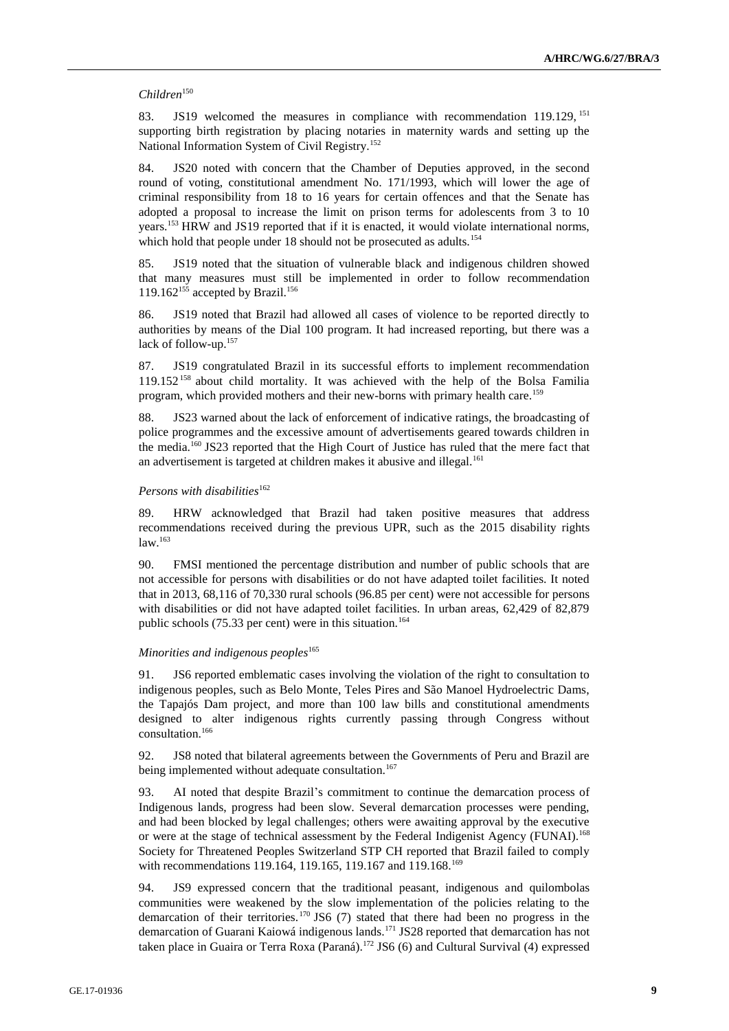#### *Children*<sup>150</sup>

83. JS19 welcomed the measures in compliance with recommendation 119.129, <sup>151</sup> supporting birth registration by placing notaries in maternity wards and setting up the National Information System of Civil Registry.<sup>152</sup>

84. JS20 noted with concern that the Chamber of Deputies approved, in the second round of voting, constitutional amendment No. 171/1993, which will lower the age of criminal responsibility from 18 to 16 years for certain offences and that the Senate has adopted a proposal to increase the limit on prison terms for adolescents from 3 to 10 years.<sup>153</sup> HRW and JS19 reported that if it is enacted, it would violate international norms, which hold that people under 18 should not be prosecuted as adults.<sup>154</sup>

85. JS19 noted that the situation of vulnerable black and indigenous children showed that many measures must still be implemented in order to follow recommendation 119.162 $155$  accepted by Brazil.<sup>156</sup>

86. JS19 noted that Brazil had allowed all cases of violence to be reported directly to authorities by means of the Dial 100 program. It had increased reporting, but there was a lack of follow-up.<sup>157</sup>

87. JS19 congratulated Brazil in its successful efforts to implement recommendation 119.152<sup>158</sup> about child mortality. It was achieved with the help of the Bolsa Familia program, which provided mothers and their new-borns with primary health care.<sup>159</sup>

88. JS23 warned about the lack of enforcement of indicative ratings, the broadcasting of police programmes and the excessive amount of advertisements geared towards children in the media.<sup>160</sup> JS23 reported that the High Court of Justice has ruled that the mere fact that an advertisement is targeted at children makes it abusive and illegal.<sup>161</sup>

#### *Persons with disabilities*<sup>162</sup>

89. HRW acknowledged that Brazil had taken positive measures that address recommendations received during the previous UPR, such as the 2015 disability rights  $law.<sup>163</sup>$ 

90. FMSI mentioned the percentage distribution and number of public schools that are not accessible for persons with disabilities or do not have adapted toilet facilities. It noted that in 2013, 68,116 of 70,330 rural schools (96.85 per cent) were not accessible for persons with disabilities or did not have adapted toilet facilities. In urban areas, 62,429 of 82,879 public schools  $(75.33$  per cent) were in this situation.<sup>164</sup>

#### *Minorities and indigenous peoples*<sup>165</sup>

91. JS6 reported emblematic cases involving the violation of the right to consultation to indigenous peoples, such as Belo Monte, Teles Pires and São Manoel Hydroelectric Dams, the Tapajós Dam project, and more than 100 law bills and constitutional amendments designed to alter indigenous rights currently passing through Congress without consultation.<sup>166</sup>

92. JS8 noted that bilateral agreements between the Governments of Peru and Brazil are being implemented without adequate consultation.<sup>167</sup>

93. AI noted that despite Brazil's commitment to continue the demarcation process of Indigenous lands, progress had been slow. Several demarcation processes were pending, and had been blocked by legal challenges; others were awaiting approval by the executive or were at the stage of technical assessment by the Federal Indigenist Agency (FUNAI).<sup>168</sup> Society for Threatened Peoples Switzerland STP CH reported that Brazil failed to comply with recommendations 119.164, 119.165, 119.167 and 119.168.<sup>169</sup>

94. JS9 expressed concern that the traditional peasant, indigenous and quilombolas communities were weakened by the slow implementation of the policies relating to the demarcation of their territories.<sup>170</sup> JS6 (7) stated that there had been no progress in the demarcation of Guarani Kaiowá indigenous lands.<sup>171</sup> JS28 reported that demarcation has not taken place in Guaira or Terra Roxa (Paraná).<sup>172</sup> JS6 (6) and Cultural Survival (4) expressed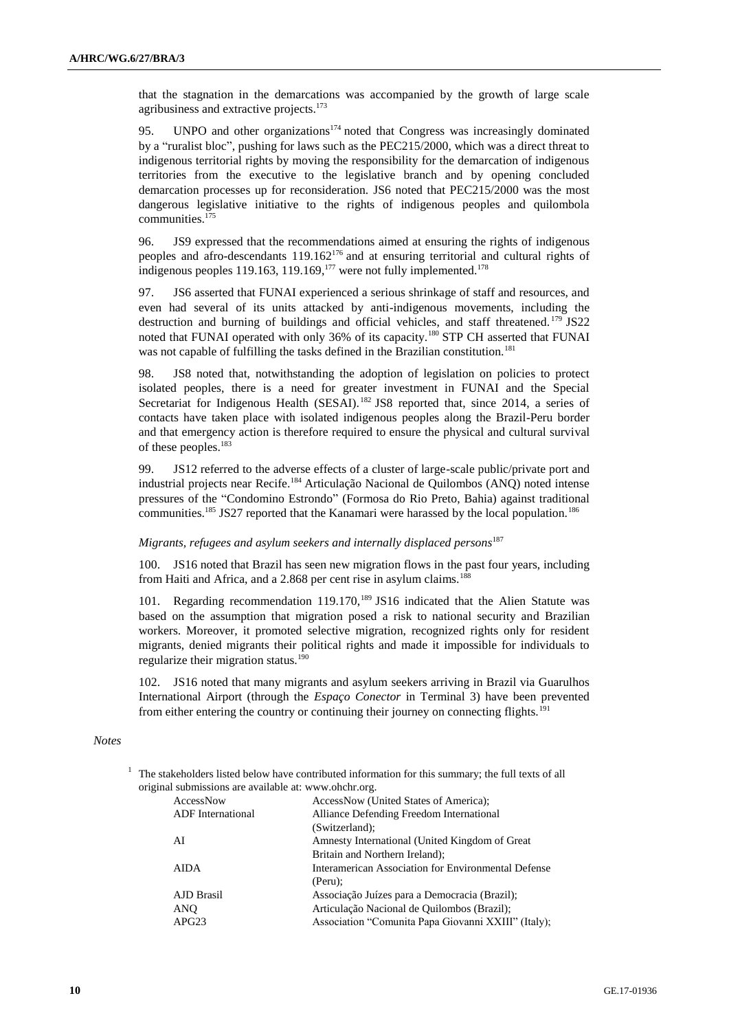that the stagnation in the demarcations was accompanied by the growth of large scale agribusiness and extractive projects.<sup>173</sup>

95. UNPO and other organizations<sup>174</sup> noted that Congress was increasingly dominated by a "ruralist bloc", pushing for laws such as the PEC215/2000, which was a direct threat to indigenous territorial rights by moving the responsibility for the demarcation of indigenous territories from the executive to the legislative branch and by opening concluded demarcation processes up for reconsideration. JS6 noted that PEC215/2000 was the most dangerous legislative initiative to the rights of indigenous peoples and quilombola communities.<sup>175</sup>

96. JS9 expressed that the recommendations aimed at ensuring the rights of indigenous peoples and afro-descendants 119.162<sup>176</sup> and at ensuring territorial and cultural rights of indigenous peoples 119.163, 119.169, $^{177}$  were not fully implemented.<sup>178</sup>

97. JS6 asserted that FUNAI experienced a serious shrinkage of staff and resources, and even had several of its units attacked by anti-indigenous movements, including the destruction and burning of buildings and official vehicles, and staff threatened.<sup>179</sup> JS22 noted that FUNAI operated with only 36% of its capacity.<sup>180</sup> STP CH asserted that FUNAI was not capable of fulfilling the tasks defined in the Brazilian constitution.<sup>181</sup>

98. JS8 noted that, notwithstanding the adoption of legislation on policies to protect isolated peoples, there is a need for greater investment in FUNAI and the Special Secretariat for Indigenous Health (SESAI).<sup>182</sup> JS8 reported that, since 2014, a series of contacts have taken place with isolated indigenous peoples along the Brazil-Peru border and that emergency action is therefore required to ensure the physical and cultural survival of these peoples.<sup>183</sup>

99. JS12 referred to the adverse effects of a cluster of large-scale public/private port and industrial projects near Recife.<sup>184</sup> Articulação Nacional de Quilombos (ANQ) noted intense pressures of the "Condomino Estrondo" (Formosa do Rio Preto, Bahia) against traditional communities.<sup>185</sup> JS27 reported that the Kanamari were harassed by the local population.<sup>186</sup>

#### *Migrants, refugees and asylum seekers and internally displaced persons*<sup>187</sup>

100. JS16 noted that Brazil has seen new migration flows in the past four years, including from Haiti and Africa, and a 2.868 per cent rise in asylum claims.<sup>188</sup>

101. Regarding recommendation 119.170,<sup>189</sup> JS16 indicated that the Alien Statute was based on the assumption that migration posed a risk to national security and Brazilian workers. Moreover, it promoted selective migration, recognized rights only for resident migrants, denied migrants their political rights and made it impossible for individuals to regularize their migration status. $190$ 

102. JS16 noted that many migrants and asylum seekers arriving in Brazil via Guarulhos International Airport (through the *Espaço Conector* in Terminal 3) have been prevented from either entering the country or continuing their journey on connecting flights.<sup>191</sup>

#### *Notes*

 $1$  The stakeholders listed below have contributed information for this summary; the full texts of all original submissions are available at: www.ohchr.org.

| AccessNow                | AccessNow (United States of America);               |
|--------------------------|-----------------------------------------------------|
| <b>ADF</b> International | Alliance Defending Freedom International            |
|                          | (Switzerland);                                      |
| AI                       | Amnesty International (United Kingdom of Great)     |
|                          | Britain and Northern Ireland);                      |
| <b>AIDA</b>              | Interamerican Association for Environmental Defense |
|                          | (Peru):                                             |
| AJD Brasil               | Associação Juízes para a Democracia (Brazil);       |
| ANO                      | Articulação Nacional de Quilombos (Brazil);         |
| APG23                    | Association "Comunita Papa Giovanni XXIII" (Italy); |
|                          |                                                     |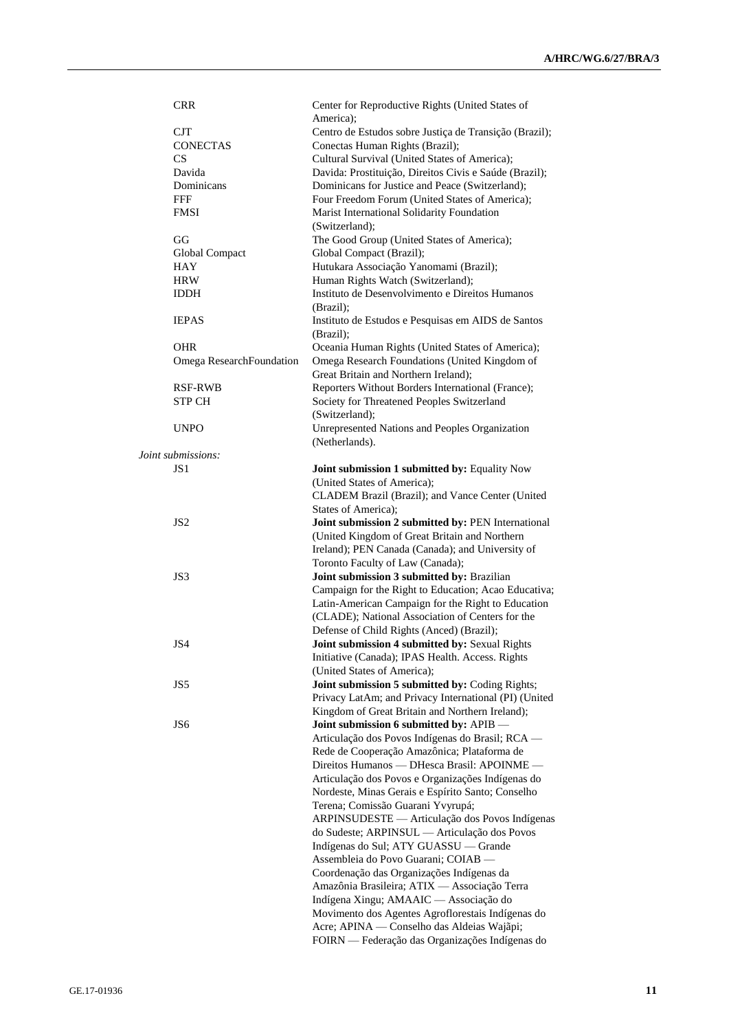| <b>CRR</b>               | Center for Reproductive Rights (United States of             |
|--------------------------|--------------------------------------------------------------|
|                          | America);                                                    |
| <b>CJT</b>               | Centro de Estudos sobre Justiça de Transição (Brazil);       |
| <b>CONECTAS</b>          | Conectas Human Rights (Brazil);                              |
| CS                       | Cultural Survival (United States of America);                |
| Davida                   | Davida: Prostituição, Direitos Civis e Saúde (Brazil);       |
| Dominicans               | Dominicans for Justice and Peace (Switzerland);              |
| FFF                      | Four Freedom Forum (United States of America);               |
| <b>FMSI</b>              | Marist International Solidarity Foundation                   |
|                          | (Switzerland);                                               |
| GG                       | The Good Group (United States of America);                   |
| Global Compact           | Global Compact (Brazil);                                     |
| <b>HAY</b>               | Hutukara Associação Yanomami (Brazil);                       |
| <b>HRW</b>               | Human Rights Watch (Switzerland);                            |
| <b>IDDH</b>              | Instituto de Desenvolvimento e Direitos Humanos<br>(Brazil); |
| <b>IEPAS</b>             | Instituto de Estudos e Pesquisas em AIDS de Santos           |
|                          | (Brazil);                                                    |
| OHR                      | Oceania Human Rights (United States of America);             |
| Omega ResearchFoundation | Omega Research Foundations (United Kingdom of                |
|                          | Great Britain and Northern Ireland);                         |
| RSF-RWB                  | Reporters Without Borders International (France);            |
| <b>STP CH</b>            | Society for Threatened Peoples Switzerland                   |
|                          | (Switzerland);                                               |
| <b>UNPO</b>              | Unrepresented Nations and Peoples Organization               |
|                          | (Netherlands).                                               |
| Joint submissions:       |                                                              |
| JS <sub>1</sub>          | Joint submission 1 submitted by: Equality Now                |
|                          | (United States of America);                                  |
|                          | CLADEM Brazil (Brazil); and Vance Center (United             |
|                          | States of America);                                          |
| JS <sub>2</sub>          | Joint submission 2 submitted by: PEN International           |
|                          | (United Kingdom of Great Britain and Northern                |
|                          | Ireland); PEN Canada (Canada); and University of             |
|                          | Toronto Faculty of Law (Canada);                             |
| JS3                      | Joint submission 3 submitted by: Brazilian                   |
|                          | Campaign for the Right to Education; Acao Educativa;         |
|                          | Latin-American Campaign for the Right to Education           |
|                          | (CLADE); National Association of Centers for the             |
|                          | Defense of Child Rights (Anced) (Brazil);                    |
| JS4                      | Joint submission 4 submitted by: Sexual Rights               |
|                          | Initiative (Canada); IPAS Health. Access. Rights             |
|                          | (United States of America);                                  |
| JS5                      | Joint submission 5 submitted by: Coding Rights;              |
|                          | Privacy LatAm; and Privacy International (PI) (United        |
|                          | Kingdom of Great Britain and Northern Ireland);              |
| JS6                      | Joint submission 6 submitted by: APIB -                      |
|                          | Articulação dos Povos Indígenas do Brasil; RCA -             |
|                          | Rede de Cooperação Amazônica; Plataforma de                  |
|                          | Direitos Humanos — DHesca Brasil: APOINME —                  |
|                          | Articulação dos Povos e Organizações Indígenas do            |
|                          | Nordeste, Minas Gerais e Espírito Santo; Conselho            |
|                          | Terena; Comissão Guarani Yvyrupá;                            |
|                          | ARPINSUDESTE — Articulação dos Povos Indígenas               |
|                          | do Sudeste; ARPINSUL — Articulação dos Povos                 |
|                          | Indígenas do Sul; ATY GUASSU — Grande                        |
|                          | Assembleia do Povo Guarani; COIAB —                          |
|                          | Coordenação das Organizações Indígenas da                    |
|                          | Amazônia Brasileira; ATIX — Associação Terra                 |
|                          | Indígena Xingu; AMAAIC — Associação do                       |
|                          | Movimento dos Agentes Agroflorestais Indígenas do            |
|                          | Acre; APINA — Conselho das Aldeias Wajãpi;                   |
|                          | FOIRN — Federação das Organizações Indígenas do              |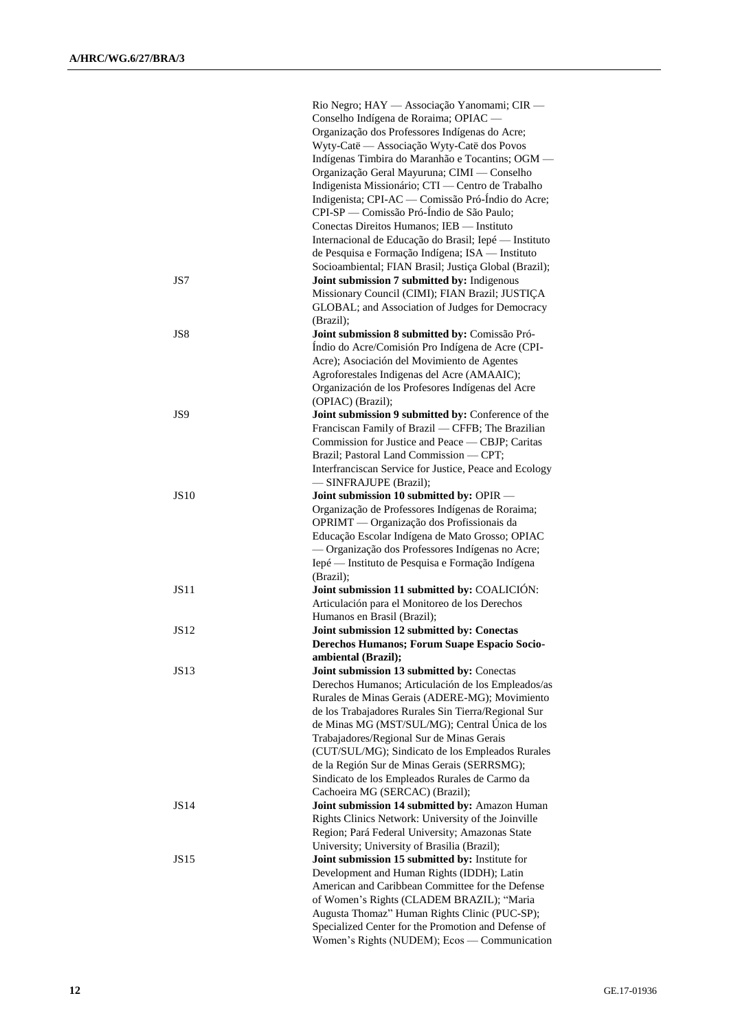|             | Rio Negro; HAY — Associação Yanomami; CIR —               |
|-------------|-----------------------------------------------------------|
|             | Conselho Indígena de Roraima; OPIAC -                     |
|             | Organização dos Professores Indígenas do Acre;            |
|             | Wyty-Catë — Associação Wyty-Catë dos Povos                |
|             | Indígenas Timbira do Maranhão e Tocantins; OGM -          |
|             | Organização Geral Mayuruna; CIMI — Conselho               |
|             | Indigenista Missionário; CTI - Centro de Trabalho         |
|             | Indigenista; CPI-AC — Comissão Pró-Índio do Acre;         |
|             | CPI-SP — Comissão Pró-Índio de São Paulo;                 |
|             | Conectas Direitos Humanos; IEB - Instituto                |
|             | Internacional de Educação do Brasil; Iepé - Instituto     |
|             | de Pesquisa e Formação Indígena; ISA — Instituto          |
|             | Socioambiental; FIAN Brasil; Justiça Global (Brazil);     |
| JS7         | Joint submission 7 submitted by: Indigenous               |
|             | Missionary Council (CIMI); FIAN Brazil; JUSTIÇA           |
|             | GLOBAL; and Association of Judges for Democracy           |
|             | (Brazil);                                                 |
| JS8         | Joint submission 8 submitted by: Comissão Pró-            |
|             | Índio do Acre/Comisión Pro Indígena de Acre (CPI-         |
|             | Acre); Asociación del Movimiento de Agentes               |
|             | Agroforestales Indigenas del Acre (AMAAIC);               |
|             | Organización de los Profesores Indígenas del Acre         |
|             | (OPIAC) (Brazil);                                         |
| JS9         | Joint submission 9 submitted by: Conference of the        |
|             | Franciscan Family of Brazil - CFFB; The Brazilian         |
|             | Commission for Justice and Peace — CBJP; Caritas          |
|             | Brazil; Pastoral Land Commission - CPT;                   |
|             | Interfranciscan Service for Justice, Peace and Ecology    |
|             | - SINFRAJUPE (Brazil);                                    |
| <b>JS10</b> | Joint submission 10 submitted by: OPIR -                  |
|             | Organização de Professores Indígenas de Roraima;          |
|             | OPRIMT - Organização dos Profissionais da                 |
|             | Educação Escolar Indígena de Mato Grosso; OPIAC           |
|             | - Organização dos Professores Indígenas no Acre;          |
|             | Iepé — Instituto de Pesquisa e Formação Indígena          |
| <b>JS11</b> | (Brazil);<br>Joint submission 11 submitted by: COALICIÓN: |
|             | Articulación para el Monitoreo de los Derechos            |
|             | Humanos en Brasil (Brazil);                               |
| JS12        | Joint submission 12 submitted by: Conectas                |
|             | Derechos Humanos; Forum Suape Espacio Socio-              |
|             | ambiental (Brazil);                                       |
| JS13        | Joint submission 13 submitted by: Conectas                |
|             | Derechos Humanos; Articulación de los Empleados/as        |
|             | Rurales de Minas Gerais (ADERE-MG); Movimiento            |
|             | de los Trabajadores Rurales Sin Tierra/Regional Sur       |
|             | de Minas MG (MST/SUL/MG); Central Única de los            |
|             | Trabajadores/Regional Sur de Minas Gerais                 |
|             | (CUT/SUL/MG); Sindicato de los Empleados Rurales          |
|             | de la Región Sur de Minas Gerais (SERRSMG);               |
|             | Sindicato de los Empleados Rurales de Carmo da            |
|             | Cachoeira MG (SERCAC) (Brazil);                           |
| JS14        | Joint submission 14 submitted by: Amazon Human            |
|             | Rights Clinics Network: University of the Joinville       |
|             | Region; Pará Federal University; Amazonas State           |
|             | University; University of Brasilia (Brazil);              |
| JS15        | Joint submission 15 submitted by: Institute for           |
|             | Development and Human Rights (IDDH); Latin                |
|             | American and Caribbean Committee for the Defense          |
|             | of Women's Rights (CLADEM BRAZIL); "Maria                 |
|             | Augusta Thomaz" Human Rights Clinic (PUC-SP);             |
|             | Specialized Center for the Promotion and Defense of       |
|             | Women's Rights (NUDEM); Ecos - Communication              |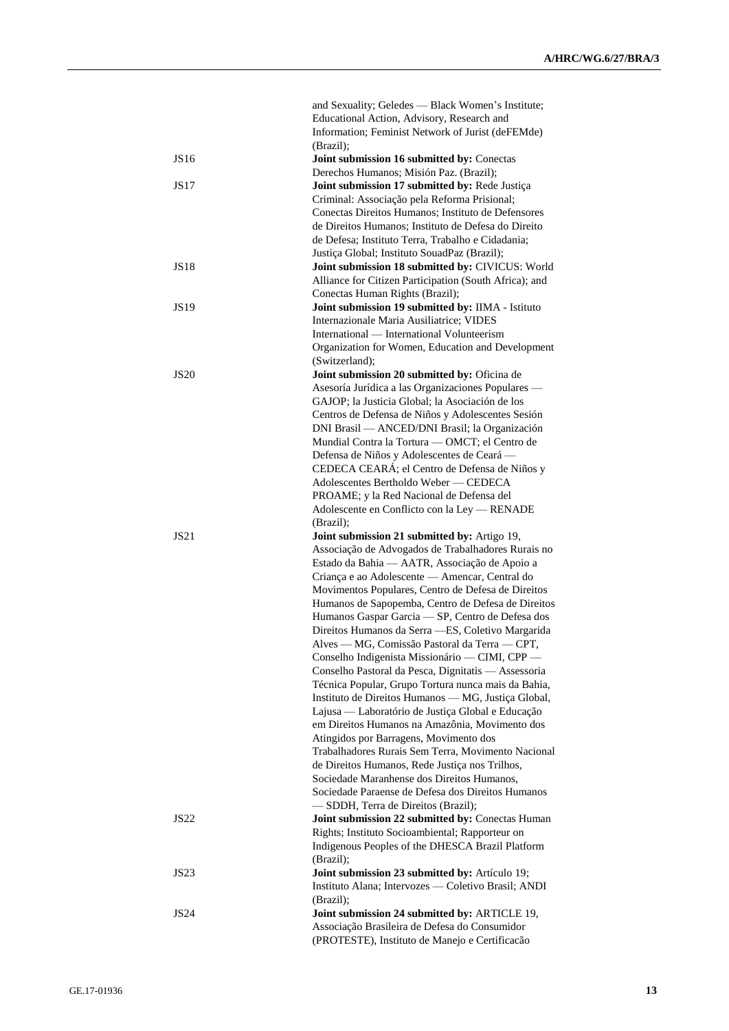|             | and Sexuality; Geledes — Black Women's Institute;                                               |
|-------------|-------------------------------------------------------------------------------------------------|
|             | Educational Action, Advisory, Research and                                                      |
|             | Information; Feminist Network of Jurist (deFEMde)                                               |
|             | (Brazil);                                                                                       |
| JS16        | Joint submission 16 submitted by: Conectas                                                      |
|             | Derechos Humanos; Misión Paz. (Brazil);                                                         |
| JS17        | Joint submission 17 submitted by: Rede Justiça                                                  |
|             | Criminal: Associação pela Reforma Prisional;                                                    |
|             | Conectas Direitos Humanos; Instituto de Defensores                                              |
|             | de Direitos Humanos; Instituto de Defesa do Direito                                             |
|             | de Defesa; Instituto Terra, Trabalho e Cidadania;                                               |
|             | Justiça Global; Instituto SouadPaz (Brazil);                                                    |
| <b>JS18</b> | Joint submission 18 submitted by: CIVICUS: World                                                |
|             | Alliance for Citizen Participation (South Africa); and                                          |
|             | Conectas Human Rights (Brazil);                                                                 |
| <b>JS19</b> | Joint submission 19 submitted by: IIMA - Istituto                                               |
|             |                                                                                                 |
|             | Internazionale Maria Ausiliatrice; VIDES                                                        |
|             | International — International Volunteerism                                                      |
|             | Organization for Women, Education and Development                                               |
|             | (Switzerland);                                                                                  |
| <b>JS20</b> | Joint submission 20 submitted by: Oficina de                                                    |
|             | Asesoría Jurídica a las Organizaciones Populares -                                              |
|             | GAJOP; la Justicia Global; la Asociación de los                                                 |
|             | Centros de Defensa de Niños y Adolescentes Sesión                                               |
|             | DNI Brasil — ANCED/DNI Brasil; la Organización                                                  |
|             | Mundial Contra la Tortura - OMCT; el Centro de                                                  |
|             | Defensa de Niños y Adolescentes de Ceará -                                                      |
|             | CEDECA CEARÁ; el Centro de Defensa de Niños y                                                   |
|             | Adolescentes Bertholdo Weber - CEDECA                                                           |
|             | PROAME; y la Red Nacional de Defensa del                                                        |
|             | Adolescente en Conflicto con la Ley - RENADE                                                    |
|             | (Brazil);                                                                                       |
|             |                                                                                                 |
| <b>JS21</b> | Joint submission 21 submitted by: Artigo 19,                                                    |
|             | Associação de Advogados de Trabalhadores Rurais no                                              |
|             | Estado da Bahia - AATR, Associação de Apoio a                                                   |
|             | Criança e ao Adolescente — Amencar, Central do                                                  |
|             | Movimentos Populares, Centro de Defesa de Direitos                                              |
|             | Humanos de Sapopemba, Centro de Defesa de Direitos                                              |
|             |                                                                                                 |
|             | Humanos Gaspar Garcia - SP, Centro de Defesa dos                                                |
|             | Direitos Humanos da Serra - ES, Coletivo Margarida                                              |
|             | Alves — MG, Comissão Pastoral da Terra — CPT,                                                   |
|             | Conselho Indigenista Missionário - CIMI, CPP -                                                  |
|             | Conselho Pastoral da Pesca, Dignitatis - Assessoria                                             |
|             | Técnica Popular, Grupo Tortura nunca mais da Bahia,                                             |
|             | Instituto de Direitos Humanos — MG, Justiça Global,                                             |
|             | Lajusa — Laboratório de Justiça Global e Educação                                               |
|             | em Direitos Humanos na Amazônia, Movimento dos                                                  |
|             | Atingidos por Barragens, Movimento dos                                                          |
|             | Trabalhadores Rurais Sem Terra, Movimento Nacional                                              |
|             | de Direitos Humanos, Rede Justiça nos Trilhos,                                                  |
|             | Sociedade Maranhense dos Direitos Humanos,                                                      |
|             | Sociedade Paraense de Defesa dos Direitos Humanos                                               |
|             | -SDDH, Terra de Direitos (Brazil);                                                              |
| <b>JS22</b> | Joint submission 22 submitted by: Conectas Human                                                |
|             | Rights; Instituto Socioambiental; Rapporteur on                                                 |
|             | Indigenous Peoples of the DHESCA Brazil Platform                                                |
|             | (Brazil);                                                                                       |
| JS23        | Joint submission 23 submitted by: Artículo 19;                                                  |
|             | Instituto Alana; Intervozes — Coletivo Brasil; ANDI                                             |
|             | (Brazil);                                                                                       |
| JS24        | Joint submission 24 submitted by: ARTICLE 19,                                                   |
|             | Associação Brasileira de Defesa do Consumidor<br>(PROTESTE), Instituto de Manejo e Certificação |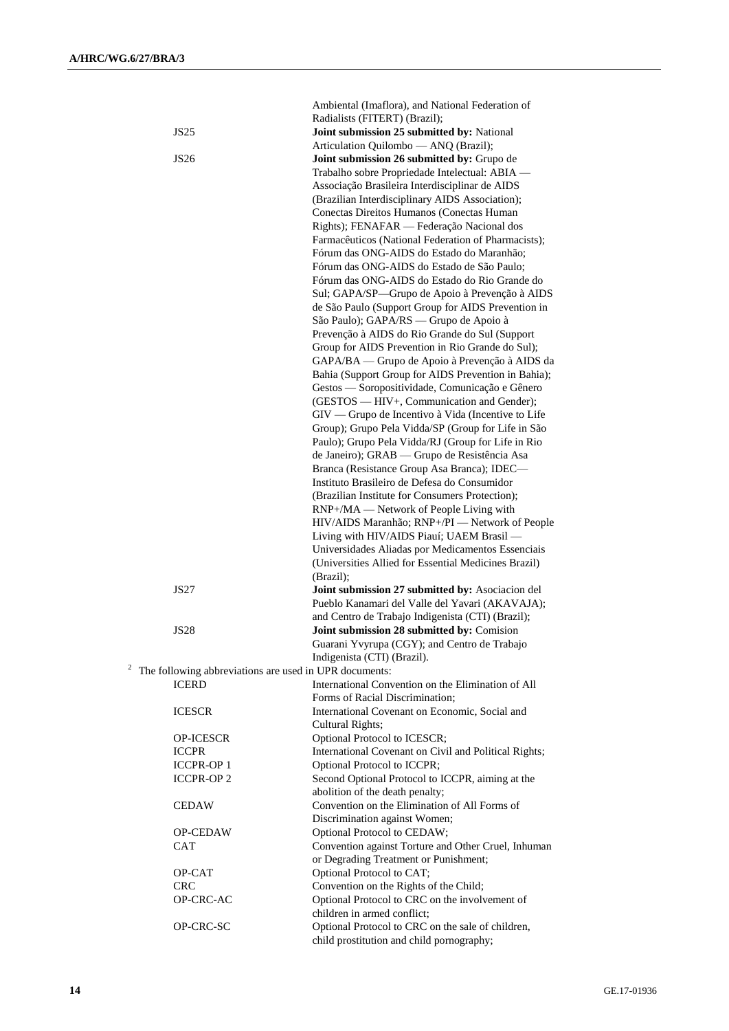| Joint submission 25 submitted by: National<br>JS25<br>Articulation Quilombo - ANQ (Brazil);<br>Joint submission 26 submitted by: Grupo de<br>JS26<br>Trabalho sobre Propriedade Intelectual: ABIA -<br>Associação Brasileira Interdisciplinar de AIDS<br>(Brazilian Interdisciplinary AIDS Association);<br>Conectas Direitos Humanos (Conectas Human<br>Rights); FENAFAR — Federação Nacional dos<br>Farmacêuticos (National Federation of Pharmacists);<br>Fórum das ONG-AIDS do Estado do Maranhão;<br>Fórum das ONG-AIDS do Estado de São Paulo;<br>Fórum das ONG-AIDS do Estado do Rio Grande do<br>Sul; GAPA/SP-Grupo de Apoio à Prevenção à AIDS<br>de São Paulo (Support Group for AIDS Prevention in<br>São Paulo); GAPA/RS — Grupo de Apoio à<br>Prevenção à AIDS do Rio Grande do Sul (Support<br>Group for AIDS Prevention in Rio Grande do Sul);<br>GAPA/BA — Grupo de Apoio à Prevenção à AIDS da<br>Bahia (Support Group for AIDS Prevention in Bahia);<br>Gestos — Soropositividade, Comunicação e Gênero<br>(GESTOS — HIV+, Communication and Gender);<br>GIV — Grupo de Incentivo à Vida (Incentive to Life<br>Group); Grupo Pela Vidda/SP (Group for Life in São<br>Paulo); Grupo Pela Vidda/RJ (Group for Life in Rio<br>de Janeiro); GRAB — Grupo de Resistência Asa<br>Branca (Resistance Group Asa Branca); IDEC—<br>Instituto Brasileiro de Defesa do Consumidor<br>(Brazilian Institute for Consumers Protection);<br>RNP+/MA — Network of People Living with<br>HIV/AIDS Maranhão; RNP+/PI - Network of People |  |
|------------------------------------------------------------------------------------------------------------------------------------------------------------------------------------------------------------------------------------------------------------------------------------------------------------------------------------------------------------------------------------------------------------------------------------------------------------------------------------------------------------------------------------------------------------------------------------------------------------------------------------------------------------------------------------------------------------------------------------------------------------------------------------------------------------------------------------------------------------------------------------------------------------------------------------------------------------------------------------------------------------------------------------------------------------------------------------------------------------------------------------------------------------------------------------------------------------------------------------------------------------------------------------------------------------------------------------------------------------------------------------------------------------------------------------------------------------------------------------------------------------------------------------------|--|
|                                                                                                                                                                                                                                                                                                                                                                                                                                                                                                                                                                                                                                                                                                                                                                                                                                                                                                                                                                                                                                                                                                                                                                                                                                                                                                                                                                                                                                                                                                                                          |  |
|                                                                                                                                                                                                                                                                                                                                                                                                                                                                                                                                                                                                                                                                                                                                                                                                                                                                                                                                                                                                                                                                                                                                                                                                                                                                                                                                                                                                                                                                                                                                          |  |
|                                                                                                                                                                                                                                                                                                                                                                                                                                                                                                                                                                                                                                                                                                                                                                                                                                                                                                                                                                                                                                                                                                                                                                                                                                                                                                                                                                                                                                                                                                                                          |  |
|                                                                                                                                                                                                                                                                                                                                                                                                                                                                                                                                                                                                                                                                                                                                                                                                                                                                                                                                                                                                                                                                                                                                                                                                                                                                                                                                                                                                                                                                                                                                          |  |
|                                                                                                                                                                                                                                                                                                                                                                                                                                                                                                                                                                                                                                                                                                                                                                                                                                                                                                                                                                                                                                                                                                                                                                                                                                                                                                                                                                                                                                                                                                                                          |  |
|                                                                                                                                                                                                                                                                                                                                                                                                                                                                                                                                                                                                                                                                                                                                                                                                                                                                                                                                                                                                                                                                                                                                                                                                                                                                                                                                                                                                                                                                                                                                          |  |
|                                                                                                                                                                                                                                                                                                                                                                                                                                                                                                                                                                                                                                                                                                                                                                                                                                                                                                                                                                                                                                                                                                                                                                                                                                                                                                                                                                                                                                                                                                                                          |  |
|                                                                                                                                                                                                                                                                                                                                                                                                                                                                                                                                                                                                                                                                                                                                                                                                                                                                                                                                                                                                                                                                                                                                                                                                                                                                                                                                                                                                                                                                                                                                          |  |
|                                                                                                                                                                                                                                                                                                                                                                                                                                                                                                                                                                                                                                                                                                                                                                                                                                                                                                                                                                                                                                                                                                                                                                                                                                                                                                                                                                                                                                                                                                                                          |  |
|                                                                                                                                                                                                                                                                                                                                                                                                                                                                                                                                                                                                                                                                                                                                                                                                                                                                                                                                                                                                                                                                                                                                                                                                                                                                                                                                                                                                                                                                                                                                          |  |
|                                                                                                                                                                                                                                                                                                                                                                                                                                                                                                                                                                                                                                                                                                                                                                                                                                                                                                                                                                                                                                                                                                                                                                                                                                                                                                                                                                                                                                                                                                                                          |  |
|                                                                                                                                                                                                                                                                                                                                                                                                                                                                                                                                                                                                                                                                                                                                                                                                                                                                                                                                                                                                                                                                                                                                                                                                                                                                                                                                                                                                                                                                                                                                          |  |
|                                                                                                                                                                                                                                                                                                                                                                                                                                                                                                                                                                                                                                                                                                                                                                                                                                                                                                                                                                                                                                                                                                                                                                                                                                                                                                                                                                                                                                                                                                                                          |  |
| Living with HIV/AIDS Piauí; UAEM Brasil -<br>Universidades Aliadas por Medicamentos Essenciais                                                                                                                                                                                                                                                                                                                                                                                                                                                                                                                                                                                                                                                                                                                                                                                                                                                                                                                                                                                                                                                                                                                                                                                                                                                                                                                                                                                                                                           |  |
| (Universities Allied for Essential Medicines Brazil)<br>(Brazil);                                                                                                                                                                                                                                                                                                                                                                                                                                                                                                                                                                                                                                                                                                                                                                                                                                                                                                                                                                                                                                                                                                                                                                                                                                                                                                                                                                                                                                                                        |  |
| <b>JS27</b><br>Joint submission 27 submitted by: Asociacion del<br>Pueblo Kanamari del Valle del Yavari (AKAVAJA);                                                                                                                                                                                                                                                                                                                                                                                                                                                                                                                                                                                                                                                                                                                                                                                                                                                                                                                                                                                                                                                                                                                                                                                                                                                                                                                                                                                                                       |  |
| and Centro de Trabajo Indigenista (CTI) (Brazil);<br>Joint submission 28 submitted by: Comision<br><b>JS28</b>                                                                                                                                                                                                                                                                                                                                                                                                                                                                                                                                                                                                                                                                                                                                                                                                                                                                                                                                                                                                                                                                                                                                                                                                                                                                                                                                                                                                                           |  |
| Guarani Yvyrupa (CGY); and Centro de Trabajo<br>Indigenista (CTI) (Brazil).                                                                                                                                                                                                                                                                                                                                                                                                                                                                                                                                                                                                                                                                                                                                                                                                                                                                                                                                                                                                                                                                                                                                                                                                                                                                                                                                                                                                                                                              |  |
| The following abbreviations are used in UPR documents:                                                                                                                                                                                                                                                                                                                                                                                                                                                                                                                                                                                                                                                                                                                                                                                                                                                                                                                                                                                                                                                                                                                                                                                                                                                                                                                                                                                                                                                                                   |  |
| International Convention on the Elimination of All<br><b>ICERD</b><br>Forms of Racial Discrimination;                                                                                                                                                                                                                                                                                                                                                                                                                                                                                                                                                                                                                                                                                                                                                                                                                                                                                                                                                                                                                                                                                                                                                                                                                                                                                                                                                                                                                                    |  |
| International Covenant on Economic, Social and<br><b>ICESCR</b><br>Cultural Rights;                                                                                                                                                                                                                                                                                                                                                                                                                                                                                                                                                                                                                                                                                                                                                                                                                                                                                                                                                                                                                                                                                                                                                                                                                                                                                                                                                                                                                                                      |  |
| Optional Protocol to ICESCR;<br><b>OP-ICESCR</b>                                                                                                                                                                                                                                                                                                                                                                                                                                                                                                                                                                                                                                                                                                                                                                                                                                                                                                                                                                                                                                                                                                                                                                                                                                                                                                                                                                                                                                                                                         |  |
| <b>ICCPR</b><br>International Covenant on Civil and Political Rights;                                                                                                                                                                                                                                                                                                                                                                                                                                                                                                                                                                                                                                                                                                                                                                                                                                                                                                                                                                                                                                                                                                                                                                                                                                                                                                                                                                                                                                                                    |  |
| <b>ICCPR-OP1</b><br>Optional Protocol to ICCPR;                                                                                                                                                                                                                                                                                                                                                                                                                                                                                                                                                                                                                                                                                                                                                                                                                                                                                                                                                                                                                                                                                                                                                                                                                                                                                                                                                                                                                                                                                          |  |
| Second Optional Protocol to ICCPR, aiming at the<br><b>ICCPR-OP2</b><br>abolition of the death penalty;                                                                                                                                                                                                                                                                                                                                                                                                                                                                                                                                                                                                                                                                                                                                                                                                                                                                                                                                                                                                                                                                                                                                                                                                                                                                                                                                                                                                                                  |  |
| Convention on the Elimination of All Forms of<br><b>CEDAW</b><br>Discrimination against Women;                                                                                                                                                                                                                                                                                                                                                                                                                                                                                                                                                                                                                                                                                                                                                                                                                                                                                                                                                                                                                                                                                                                                                                                                                                                                                                                                                                                                                                           |  |
| Optional Protocol to CEDAW;<br>OP-CEDAW                                                                                                                                                                                                                                                                                                                                                                                                                                                                                                                                                                                                                                                                                                                                                                                                                                                                                                                                                                                                                                                                                                                                                                                                                                                                                                                                                                                                                                                                                                  |  |
| Convention against Torture and Other Cruel, Inhuman<br>CAT<br>or Degrading Treatment or Punishment;                                                                                                                                                                                                                                                                                                                                                                                                                                                                                                                                                                                                                                                                                                                                                                                                                                                                                                                                                                                                                                                                                                                                                                                                                                                                                                                                                                                                                                      |  |
| Optional Protocol to CAT;<br>OP-CAT                                                                                                                                                                                                                                                                                                                                                                                                                                                                                                                                                                                                                                                                                                                                                                                                                                                                                                                                                                                                                                                                                                                                                                                                                                                                                                                                                                                                                                                                                                      |  |
| Convention on the Rights of the Child;<br><b>CRC</b>                                                                                                                                                                                                                                                                                                                                                                                                                                                                                                                                                                                                                                                                                                                                                                                                                                                                                                                                                                                                                                                                                                                                                                                                                                                                                                                                                                                                                                                                                     |  |
| Optional Protocol to CRC on the involvement of<br>OP-CRC-AC                                                                                                                                                                                                                                                                                                                                                                                                                                                                                                                                                                                                                                                                                                                                                                                                                                                                                                                                                                                                                                                                                                                                                                                                                                                                                                                                                                                                                                                                              |  |
| children in armed conflict;<br>Optional Protocol to CRC on the sale of children,<br>OP-CRC-SC<br>child prostitution and child pornography;                                                                                                                                                                                                                                                                                                                                                                                                                                                                                                                                                                                                                                                                                                                                                                                                                                                                                                                                                                                                                                                                                                                                                                                                                                                                                                                                                                                               |  |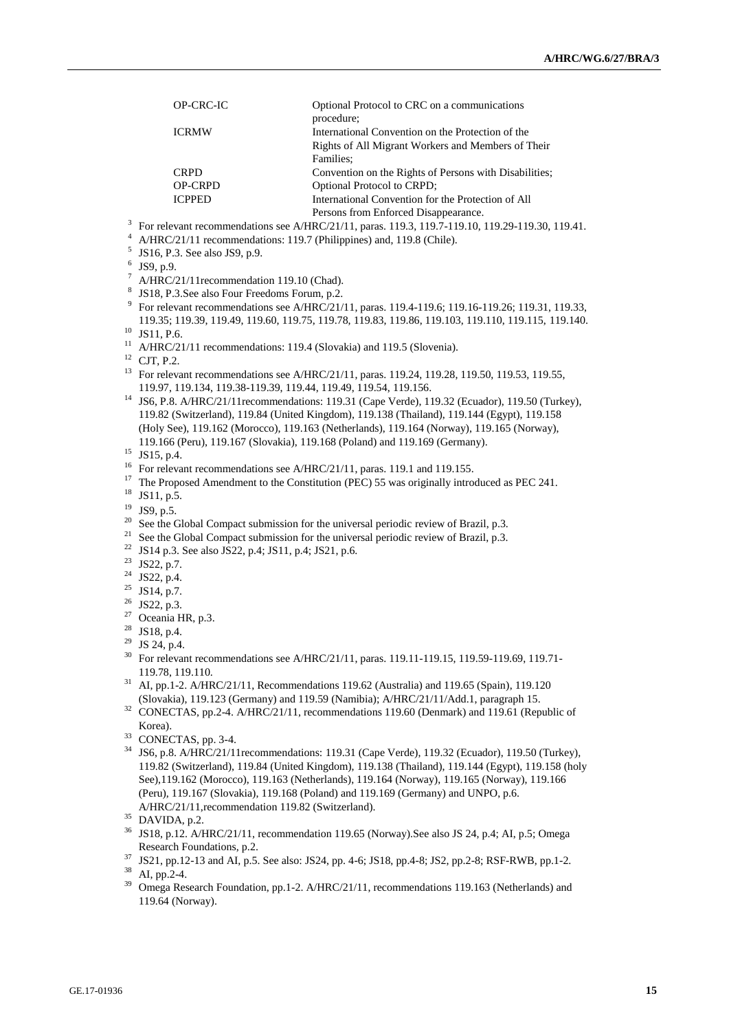| OP-CRC-IC      | Optional Protocol to CRC on a communications           |
|----------------|--------------------------------------------------------|
|                | procedure;                                             |
| <b>ICRMW</b>   | International Convention on the Protection of the      |
|                | Rights of All Migrant Workers and Members of Their     |
|                | Families:                                              |
| <b>CRPD</b>    | Convention on the Rights of Persons with Disabilities: |
| <b>OP-CRPD</b> | <b>Optional Protocol to CRPD:</b>                      |
| <b>ICPPED</b>  | International Convention for the Protection of All     |
|                | Persons from Enforced Disannearance                    |

Persons from Enforced Disappearance.<br><sup>3</sup> For relevant recommendations see A/HRC/21/11, paras. 119.3, 119.7-119.10, 119.29-119.30, 119.41.

- <sup>4</sup> A/HRC/21/11 recommendations: 119.7 (Philippines) and, 119.8 (Chile).
- <sup>5</sup> JS16, P.3. See also JS9, p.9.
- $^6$  JS9, p.9.
- $^7$  A/HRC/21/11 recommendation 119.10 (Chad).
- 8 JS18, P.3.See also Four Freedoms Forum, p.2.
- 9 For relevant recommendations see A/HRC/21/11, paras. 119.4-119.6; 119.16-119.26; 119.31, 119.33, 119.35; 119.39, 119.49, 119.60, 119.75, 119.78, 119.83, 119.86, 119.103, 119.110, 119.115, 119.140. <sup>10</sup> JS11, P.6.
- <sup>11</sup> A/HRC/21/11 recommendations: 119.4 (Slovakia) and 119.5 (Slovenia).
- $12$  CJT, P.2.

<sup>13</sup> For relevant recommendations see A/HRC/21/11, paras. 119.24, 119.28, 119.50, 119.53, 119.55, 119.97, 119.134, 119.38-119.39, 119.44, 119.49, 119.54, 119.156.

<sup>14</sup> JS6, P.8. A/HRC/21/11recommendations: 119.31 (Cape Verde), 119.32 (Ecuador), 119.50 (Turkey), 119.82 (Switzerland), 119.84 (United Kingdom), 119.138 (Thailand), 119.144 (Egypt), 119.158 (Holy See), 119.162 (Morocco), 119.163 (Netherlands), 119.164 (Norway), 119.165 (Norway), 119.166 (Peru), 119.167 (Slovakia), 119.168 (Poland) and 119.169 (Germany).

- <sup>17</sup> The Proposed Amendment to the Constitution (PEC) 55 was originally introduced as PEC 241.
- <sup>18</sup> JS11, p.5.
- $^{19}$  JS9, p.5.
- <sup>20</sup> See the Global Compact submission for the universal periodic review of Brazil, p.3.<br><sup>21</sup> S. al. Cl. L. C.
- See the Global Compact submission for the universal periodic review of Brazil, p.3.
- <sup>22</sup> JS14 p.3. See also JS22, p.4; JS11, p.4; JS21, p.6.
- $23$  JS22, p.7.
- <sup>24</sup> JS22, p.4.
- $25$  JS14, p.7.
- <sup>26</sup> JS22, p.3.
- <sup>27</sup> Oceania HR, p.3.
- <sup>28</sup> JS18, p.4.
- <sup>29</sup> JS 24, p.4.
- <sup>30</sup> For relevant recommendations see A/HRC/21/11, paras. 119.11-119.15, 119.59-119.69, 119.71-119.78, 119.110.
- <sup>31</sup> AI, pp.1-2. A/HRC/21/11, Recommendations 119.62 (Australia) and 119.65 (Spain), 119.120 (Slovakia), 119.123 (Germany) and 119.59 (Namibia); A/HRC/21/11/Add.1, paragraph 15.
- <sup>32</sup> CONECTAS, pp.2-4. A/HRC/21/11, recommendations 119.60 (Denmark) and 119.61 (Republic of Korea).
- <sup>33</sup> CONECTAS, pp. 3-4.
- <sup>34</sup> JS6, p.8. A/HRC/21/11recommendations: 119.31 (Cape Verde), 119.32 (Ecuador), 119.50 (Turkey), 119.82 (Switzerland), 119.84 (United Kingdom), 119.138 (Thailand), 119.144 (Egypt), 119.158 (holy See),119.162 (Morocco), 119.163 (Netherlands), 119.164 (Norway), 119.165 (Norway), 119.166 (Peru), 119.167 (Slovakia), 119.168 (Poland) and 119.169 (Germany) and UNPO, p.6. A/HRC/21/11,recommendation 119.82 (Switzerland).
- <sup>35</sup> DAVIDA, p.2.
- <sup>36</sup> JS18, p.12. A/HRC/21/11, recommendation 119.65 (Norway). See also JS 24, p.4; AI, p.5; Omega Research Foundations, p.2.
- $\frac{37}{15}$  JS21, pp.12-13 and AI, p.5. See also: JS24, pp. 4-6; JS18, pp. 4-8; JS2, pp. 2-8; RSF-RWB, pp. 1-2.

<sup>39</sup> Omega Research Foundation, pp.1-2. A/HRC/21/11, recommendations 119.163 (Netherlands) and 119.64 (Norway).

<sup>15</sup> JS15, p.4.

<sup>&</sup>lt;sup>16</sup> For relevant recommendations see A/HRC/21/11, paras. 119.1 and 119.155.

AI, pp.2-4.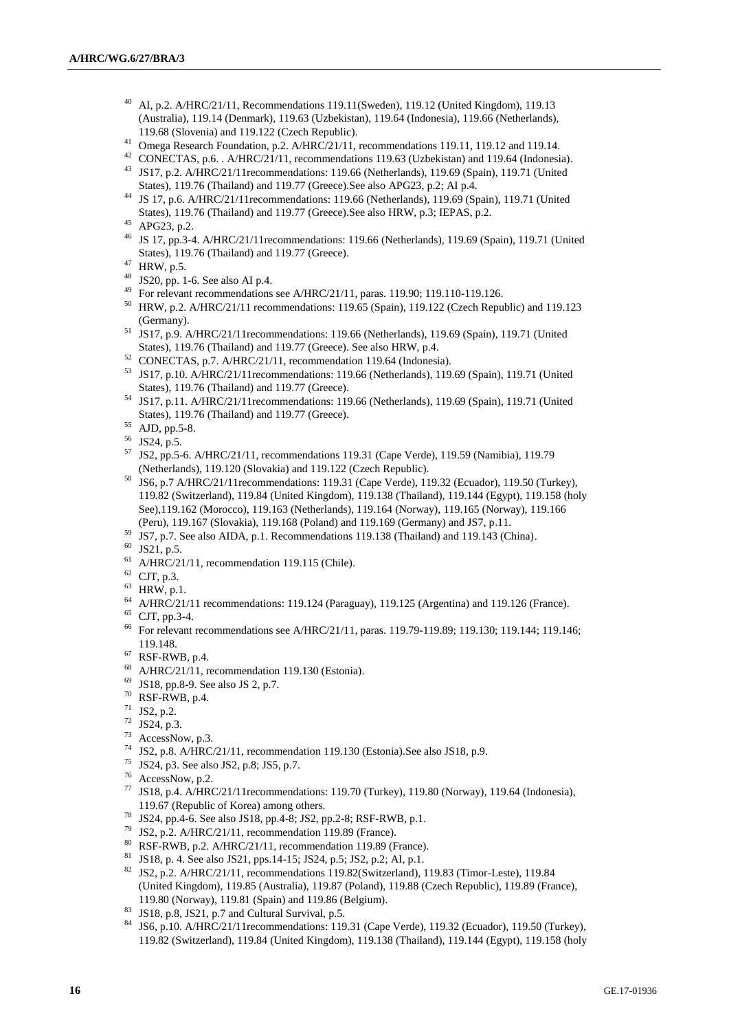- <sup>40</sup> AI, p.2. A/HRC/21/11, Recommendations 119.11(Sweden), 119.12 (United Kingdom), 119.13 (Australia), 119.14 (Denmark), 119.63 (Uzbekistan), 119.64 (Indonesia), 119.66 (Netherlands), 119.68 (Slovenia) and 119.122 (Czech Republic).
- <sup>41</sup> Omega Research Foundation, p.2. A/HRC/21/11, recommendations 119.11, 119.12 and 119.14.
- <sup>42</sup> CONECTAS, p.6. . A/HRC/21/11, recommendations 119.63 (Uzbekistan) and 119.64 (Indonesia). <sup>43</sup> JS17, p.2. A/HRC/21/11recommendations: 119.66 (Netherlands), 119.69 (Spain), 119.71 (United States), 119.76 (Thailand) and 119.77 (Greece).See also APG23, p.2; AI p.4.
- <sup>44</sup> JS 17, p.6. A/HRC/21/11recommendations: 119.66 (Netherlands), 119.69 (Spain), 119.71 (United States), 119.76 (Thailand) and 119.77 (Greece).See also HRW, p.3; IEPAS, p.2.
- <sup>45</sup> APG23, p.2.
- <sup>46</sup> JS 17, pp.3-4. A/HRC/21/11recommendations: 119.66 (Netherlands), 119.69 (Spain), 119.71 (United States), 119.76 (Thailand) and 119.77 (Greece).
- $47$  HRW, p.5.
- <sup>48</sup> JS20, pp. 1-6. See also AI p.4.
- <sup>49</sup> For relevant recommendations see A/HRC/21/11, paras. 119.90; 119.110-119.126.
- <sup>50</sup> HRW, p.2. A/HRC/21/11 recommendations: 119.65 (Spain), 119.122 (Czech Republic) and 119.123 (Germany).
- <sup>51</sup> JS17, p.9. A/HRC/21/11recommendations: 119.66 (Netherlands), 119.69 (Spain), 119.71 (United States), 119.76 (Thailand) and 119.77 (Greece). See also HRW, p.4.
- <sup>52</sup> CONECTAS, p.7. A/HRC/21/11, recommendation 119.64 (Indonesia).
- <sup>53</sup> JS17, p.10. A/HRC/21/11recommendations: 119.66 (Netherlands), 119.69 (Spain), 119.71 (United States), 119.76 (Thailand) and 119.77 (Greece).
- <sup>54</sup> JS17, p.11. A/HRC/21/11recommendations: 119.66 (Netherlands), 119.69 (Spain), 119.71 (United States), 119.76 (Thailand) and 119.77 (Greece).
- <sup>55</sup> AJD, pp.5-8.
- <sup>56</sup> JS24, p.5.
- <sup>57</sup> JS2, pp.5-6. A/HRC/21/11, recommendations 119.31 (Cape Verde), 119.59 (Namibia), 119.79 (Netherlands), 119.120 (Slovakia) and 119.122 (Czech Republic).
- <sup>58</sup> JS6, p.7 A/HRC/21/11recommendations: 119.31 (Cape Verde), 119.32 (Ecuador), 119.50 (Turkey), 119.82 (Switzerland), 119.84 (United Kingdom), 119.138 (Thailand), 119.144 (Egypt), 119.158 (holy See),119.162 (Morocco), 119.163 (Netherlands), 119.164 (Norway), 119.165 (Norway), 119.166 (Peru), 119.167 (Slovakia), 119.168 (Poland) and 119.169 (Germany) and JS7, p.11.
- <sup>59</sup> JS7, p.7. See also AIDA, p.1. Recommendations 119.138 (Thailand) and 119.143 (China).
- <sup>60</sup> JS21, p.5.
- $61$  A/HRC/21/11, recommendation 119.115 (Chile).
- $62$  CJT, p.3.
- $63$  HRW, p.1.
- <sup>64</sup> A/HRC/21/11 recommendations: 119.124 (Paraguay), 119.125 (Argentina) and 119.126 (France).
- <sup>65</sup> CJT, pp.3-4.
- <sup>66</sup> For relevant recommendations see A/HRC/21/11, paras. 119.79-119.89; 119.130; 119.144; 119.146; 119.148.
- $67$  RSF-RWB, p.4.
- $^{68}$  A/HRC/21/11, recommendation 119.130 (Estonia).
- <sup>69</sup> JS18, pp.8-9. See also JS 2, p.7.
- <sup>70</sup> RSF-RWB, p.4.
- <sup>71</sup> JS2, p.2.
- <sup>72</sup> JS24, p.3.
- $73$  AccessNow, p.3.
- <sup>74</sup> JS2, p.8. A/HRC/21/11, recommendation 119.130 (Estonia).See also JS18, p.9.<br><sup>75</sup> JS24, p.<sup>2</sup>. See also JS2, p. 8: JS5, p. 7.
- <sup>75</sup> JS24, p3. See also JS2, p.8; JS5, p.7.<br> $^{76}$  Aggress Now p.2.
- $\frac{76}{77}$  AccessNow, p.2.
- <sup>77</sup> JS18, p.4. A/HRC/21/11recommendations: 119.70 (Turkey), 119.80 (Norway), 119.64 (Indonesia), 119.67 (Republic of Korea) among others.
- <sup>78</sup> JS24, pp.4-6. See also JS18, pp.4-8; JS2, pp.2-8; RSF-RWB, p.1.<br> $^{79}$  JS2, p.4. *AVD COMM*
- <sup>79</sup> JS2, p.2. A/HRC/21/11, recommendation 119.89 (France).
- $80$  RSF-RWB, p.2. A/HRC/21/11, recommendation 119.89 (France).
- <sup>81</sup> JS18, p. 4. See also JS21, pps.14-15; JS24, p.5; JS2, p.2; AI, p.1.
- <sup>82</sup> JS2, p.2. A/HRC/21/11, recommendations 119.82(Switzerland), 119.83 (Timor-Leste), 119.84 (United Kingdom), 119.85 (Australia), 119.87 (Poland), 119.88 (Czech Republic), 119.89 (France), 119.80 (Norway), 119.81 (Spain) and 119.86 (Belgium).
- <sup>83</sup> JS18, p.8, JS21, p.7 and Cultural Survival, p.5.
- <sup>84</sup> JS6, p.10. A/HRC/21/11recommendations: 119.31 (Cape Verde), 119.32 (Ecuador), 119.50 (Turkey), 119.82 (Switzerland), 119.84 (United Kingdom), 119.138 (Thailand), 119.144 (Egypt), 119.158 (holy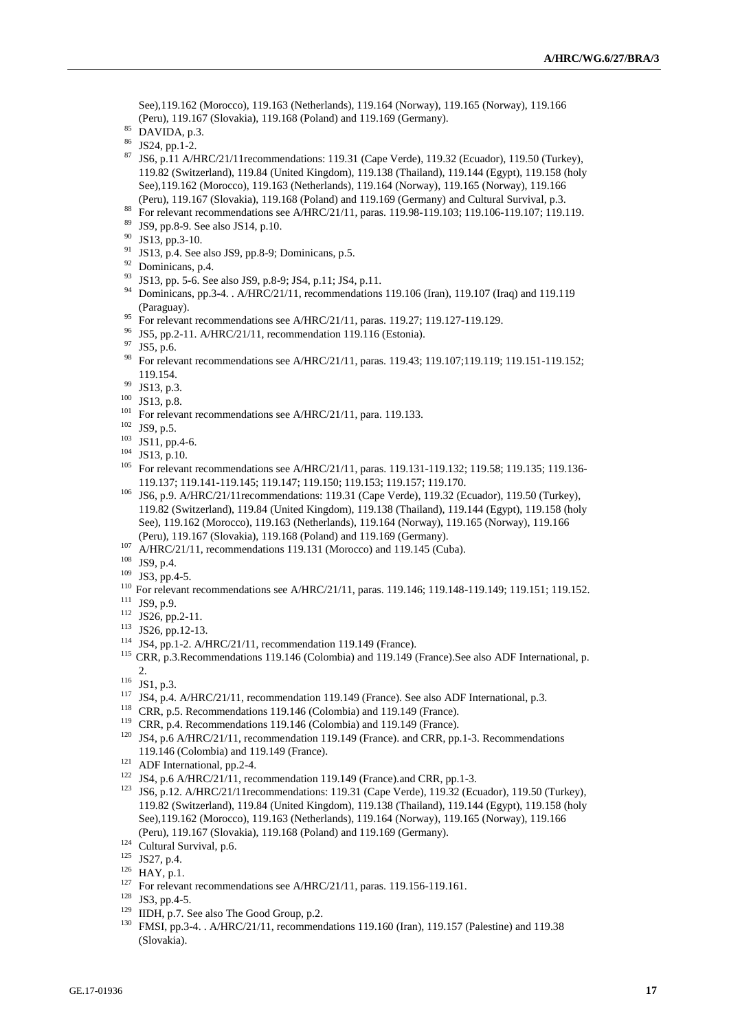See),119.162 (Morocco), 119.163 (Netherlands), 119.164 (Norway), 119.165 (Norway), 119.166 (Peru), 119.167 (Slovakia), 119.168 (Poland) and 119.169 (Germany).

- $85$  DAVIDA, p.3.
- JS24, pp.1-2.
- <sup>87</sup> JS6, p.11 A/HRC/21/11recommendations: 119.31 (Cape Verde), 119.32 (Ecuador), 119.50 (Turkey), 119.82 (Switzerland), 119.84 (United Kingdom), 119.138 (Thailand), 119.144 (Egypt), 119.158 (holy See),119.162 (Morocco), 119.163 (Netherlands), 119.164 (Norway), 119.165 (Norway), 119.166 (Peru), 119.167 (Slovakia), 119.168 (Poland) and 119.169 (Germany) and Cultural Survival, p.3.
- <sup>88</sup> For relevant recommendations see A/HRC/21/11, paras. 119.98-119.103; 119.106-119.107; 119.119.<br><sup>89</sup> ISO an 8.0 See also IS14.n 10.
- <sup>89</sup> JS9, pp.8-9. See also JS14, p.10.
- <sup>90</sup> JS13, pp.3-10.
- <sup>91</sup> JS13, p.4. See also JS9, pp.8-9; Dominicans, p.5.
- <sup>92</sup> Dominicans, p.4.
- <sup>93</sup> JS13, pp. 5-6. See also JS9, p.8-9; JS4, p.11; JS4, p.11.
- <sup>94</sup> Dominicans, pp.3-4. . A/HRC/21/11, recommendations 119.106 (Iran), 119.107 (Iraq) and 119.119 (Paraguay).
- <sup>95</sup> For relevant recommendations see A/HRC/21/11, paras. 119.27; 119.127-119.129.
- <sup>96</sup> JS5, pp.2-11. A/HRC/21/11, recommendation 119.116 (Estonia).<br><sup>97</sup> JS5 a 6
- JS5, p.6.
- 98 For relevant recommendations see A/HRC/21/11, paras. 119.43; 119.107;119.119; 119.151-119.152; 119.154.
- <sup>99</sup> JS13, p.3.
- <sup>100</sup> JS13, p.8.
- <sup>101</sup> For relevant recommendations see A/HRC/21/11, para. 119.133.<br><sup>102</sup> ISO  $\approx$  5
- JS9, p.5.
- $103$  JS11, pp.4-6.
- $^{104}$  JS13, p.10.

For relevant recommendations see A/HRC/21/11, paras. 119.131-119.132; 119.58; 119.135; 119.136-119.137; 119.141-119.145; 119.147; 119.150; 119.153; 119.157; 119.170.

- <sup>106</sup> JS6, p.9. A/HRC/21/11recommendations: 119.31 (Cape Verde), 119.32 (Ecuador), 119.50 (Turkey), 119.82 (Switzerland), 119.84 (United Kingdom), 119.138 (Thailand), 119.144 (Egypt), 119.158 (holy See), 119.162 (Morocco), 119.163 (Netherlands), 119.164 (Norway), 119.165 (Norway), 119.166 (Peru), 119.167 (Slovakia), 119.168 (Poland) and 119.169 (Germany).
- $107$  A/HRC/21/11, recommendations 119.131 (Morocco) and 119.145 (Cuba).
- <sup>108</sup> JS9, p.4.
- <sup>109</sup> JS3, pp.4-5.
- <sup>110</sup> For relevant recommendations see A/HRC/21/11, paras. 119.146; 119.148-119.149; 119.151; 119.152.
- $111$  JS9, p.9.
- <sup>112</sup> JS26, pp.2-11.
- <sup>113</sup> JS26, pp.12-13.
- <sup>114</sup> JS4, pp.1-2. A/HRC/21/11, recommendation 119.149 (France).

<sup>115</sup> CRR, p.3.Recommendations 119.146 (Colombia) and 119.149 (France).See also ADF International, p.  $2.$ 

- <sup>116</sup> JS1, p.3.
- <sup>117</sup> JS4, p.4. A/HRC/21/11, recommendation 119.149 (France). See also ADF International, p.3.
- <sup>118</sup> CRR, p.5. Recommendations 119.146 (Colombia) and 119.149 (France).
- <sup>119</sup> CRR, p.4. Recommendations 119.146 (Colombia) and 119.149 (France).
- <sup>120</sup> JS4, p.6 A/HRC/21/11, recommendation 119.149 (France). and CRR, pp.1-3. Recommendations 119.146 (Colombia) and 119.149 (France).
- <sup>121</sup> ADF International, pp.2-4.
- <sup>122</sup> JS4, p.6 A/HRC/21/11, recommendation 119.149 (France).and CRR, pp.1-3.
- <sup>123</sup> JS6, p.12. A/HRC/21/11recommendations: 119.31 (Cape Verde), 119.32 (Ecuador), 119.50 (Turkey), 119.82 (Switzerland), 119.84 (United Kingdom), 119.138 (Thailand), 119.144 (Egypt), 119.158 (holy See),119.162 (Morocco), 119.163 (Netherlands), 119.164 (Norway), 119.165 (Norway), 119.166 (Peru), 119.167 (Slovakia), 119.168 (Poland) and 119.169 (Germany).
- <sup>124</sup> Cultural Survival, p.6.
- <sup>125</sup> JS27, p.4.
- <sup>126</sup> HAY, p.1.
- <sup>127</sup> For relevant recommendations see A/HRC/21/11, paras. 119.156-119.161.
- <sup>128</sup> JS3, pp.4-5.
- <sup>129</sup> IIDH, p.7. See also The Good Group, p.2.
- <sup>130</sup> FMSI, pp.3-4. . A/HRC/21/11, recommendations 119.160 (Iran), 119.157 (Palestine) and 119.38 (Slovakia).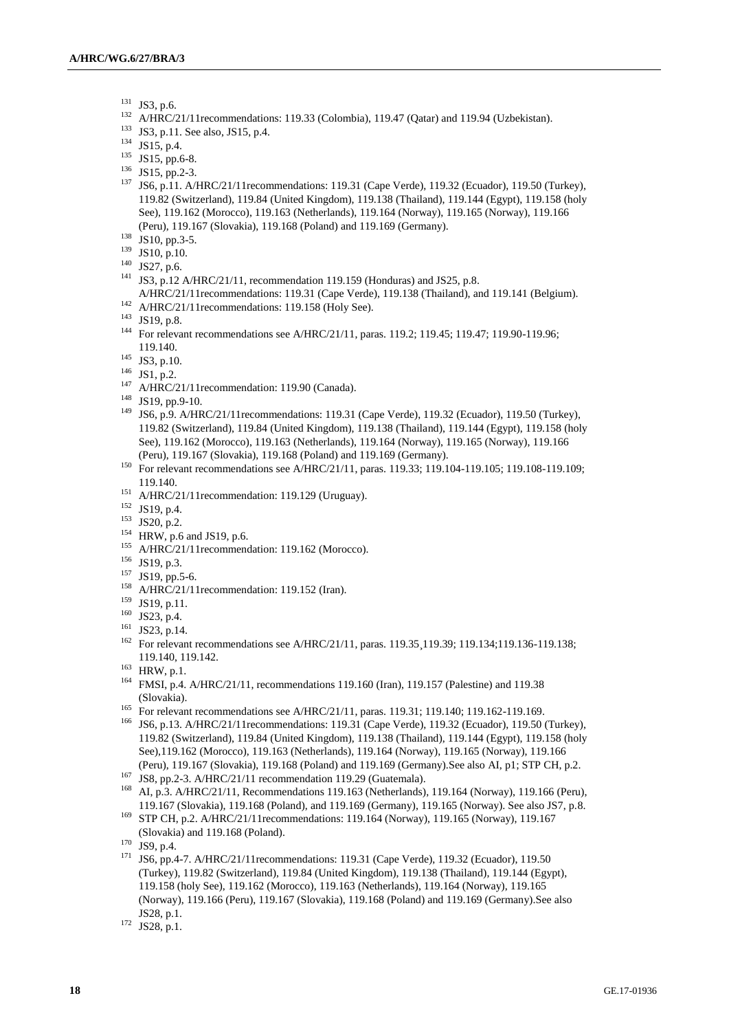- <sup>131</sup> JS3, p.6.
- <sup>132</sup> A/HRC/21/11recommendations: 119.33 (Colombia), 119.47 (Qatar) and 119.94 (Uzbekistan).
- <sup>133</sup> JS3, p.11. See also, JS15, p.4.
- $134$  JS15, p.4.
- $135$  JS15, pp.6-8.
- $136$  JS15, pp.2-3.
- <sup>137</sup> JS6, p.11. A/HRC/21/11recommendations: 119.31 (Cape Verde), 119.32 (Ecuador), 119.50 (Turkey), 119.82 (Switzerland), 119.84 (United Kingdom), 119.138 (Thailand), 119.144 (Egypt), 119.158 (holy See), 119.162 (Morocco), 119.163 (Netherlands), 119.164 (Norway), 119.165 (Norway), 119.166 (Peru), 119.167 (Slovakia), 119.168 (Poland) and 119.169 (Germany).
- <sup>138</sup> JS10, pp.3-5.
- <sup>139</sup> JS10, p.10.
- $140$  JS27, p.6.
- <sup>141</sup> JS3, p.12 A/HRC/21/11, recommendation 119.159 (Honduras) and JS25, p.8. A/HRC/21/11recommendations: 119.31 (Cape Verde), 119.138 (Thailand), and 119.141 (Belgium).
- $142$  A/HRC/21/11 recommendations: 119.158 (Holy See).
- <sup>143</sup> JS19, p.8.
- <sup>144</sup> For relevant recommendations see A/HRC/21/11, paras. 119.2; 119.45; 119.47; 119.90-119.96; 119.140.
- <sup>145</sup> JS3, p.10.
- <sup>146</sup> JS1, p.2.
- <sup>147</sup> A/HRC/21/11 recommendation: 119.90 (Canada).
- <sup>148</sup> JS19, pp.9-10.
- <sup>149</sup> JS6, p.9. A/HRC/21/11recommendations: 119.31 (Cape Verde), 119.32 (Ecuador), 119.50 (Turkey), 119.82 (Switzerland), 119.84 (United Kingdom), 119.138 (Thailand), 119.144 (Egypt), 119.158 (holy See), 119.162 (Morocco), 119.163 (Netherlands), 119.164 (Norway), 119.165 (Norway), 119.166 (Peru), 119.167 (Slovakia), 119.168 (Poland) and 119.169 (Germany).
- 150 For relevant recommendations see A/HRC/21/11, paras. 119.33; 119.104-119.105; 119.108-119.109; 119.140.
- <sup>151</sup> A/HRC/21/11 recommendation: 119.129 (Uruguay).
- <sup>152</sup> JS19, p.4.
- <sup>153</sup> JS20, p.2.
- <sup>154</sup> HRW, p.6 and JS19, p.6.
- <sup>155</sup> A/HRC/21/11recommendation: 119.162 (Morocco).
- <sup>156</sup> JS19, p.3.
- <sup>157</sup> JS19, pp.5-6.
- <sup>158</sup> A/HRC/21/11recommendation: 119.152 (Iran).
- <sup>159</sup> JS19, p.11.
- <sup>160</sup> JS23, p.4.
- <sup>161</sup> JS23, p.14.
- <sup>162</sup> For relevant recommendations see A/HRC/21/11, paras. 119.35, 119.39; 119.134; 119.136-119.138; 119.140, 119.142.
- $163$  HRW, p.1.
- <sup>164</sup> FMSI, p.4. A/HRC/21/11, recommendations 119.160 (Iran), 119.157 (Palestine) and 119.38 (Slovakia).
- <sup>165</sup> For relevant recommendations see A/HRC/21/11, paras. 119.31; 119.140; 119.162-119.169.
- <sup>166</sup> JS6, p.13. A/HRC/21/11recommendations: 119.31 (Cape Verde), 119.32 (Ecuador), 119.50 (Turkey), 119.82 (Switzerland), 119.84 (United Kingdom), 119.138 (Thailand), 119.144 (Egypt), 119.158 (holy See),119.162 (Morocco), 119.163 (Netherlands), 119.164 (Norway), 119.165 (Norway), 119.166 (Peru), 119.167 (Slovakia), 119.168 (Poland) and 119.169 (Germany).See also AI, p1; STP CH, p.2.
- <sup>167</sup> JS8, pp.2-3. A/HRC/21/11 recommendation 119.29 (Guatemala).
- <sup>168</sup> AI, p.3. A/HRC/21/11, Recommendations 119.163 (Netherlands), 119.164 (Norway), 119.166 (Peru), 119.167 (Slovakia), 119.168 (Poland), and 119.169 (Germany), 119.165 (Norway). See also JS7, p.8.
- <sup>169</sup> STP CH, p.2. A/HRC/21/11recommendations: 119.164 (Norway), 119.165 (Norway), 119.167 (Slovakia) and 119.168 (Poland).

<sup>171</sup> JS6, pp.4-7. A/HRC/21/11recommendations: 119.31 (Cape Verde), 119.32 (Ecuador), 119.50 (Turkey), 119.82 (Switzerland), 119.84 (United Kingdom), 119.138 (Thailand), 119.144 (Egypt), 119.158 (holy See), 119.162 (Morocco), 119.163 (Netherlands), 119.164 (Norway), 119.165 (Norway), 119.166 (Peru), 119.167 (Slovakia), 119.168 (Poland) and 119.169 (Germany).See also JS28, p.1.

 $170$  JS9, p.4.

 $172$  JS28, p.1.